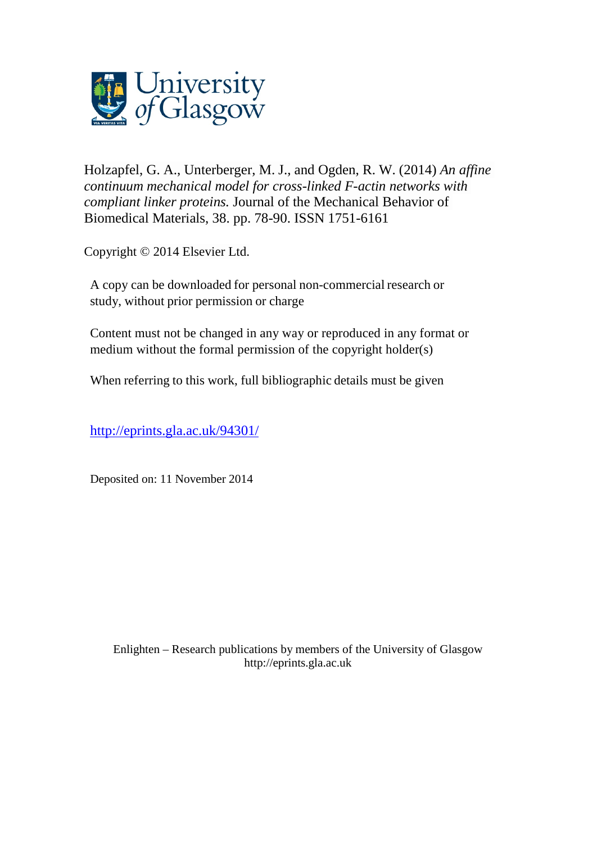

Holzapfel, G. A., Unterberger, M. J., and [Ogden, R. W.](http://eprints.gla.ac.uk/view/author/11283.html) (2014) *An affine continuum mechanical model for cross-linked F-actin networks with compliant linker proteins.* [Journal of the Mechanical Behavior of](http://eprints.gla.ac.uk/view/journal_volume/Journal_of_the_Mechanical_Behavior_of_Biomedical_Materials.html)  [Biomedical Materials,](http://eprints.gla.ac.uk/view/journal_volume/Journal_of_the_Mechanical_Behavior_of_Biomedical_Materials.html) 38. pp. 78-90. ISSN 1751-6161

Copyright © 2014 Elsevier Ltd.

A copy can be downloaded for personal non-commercial research or study, without prior permission or charge

Content must not be changed in any way or reproduced in any format or medium without the formal permission of the copyright holder(s)

When referring to this work, full bibliographic details must be given

<http://eprints.gla.ac.uk/94301/>

Deposited on: 11 November 2014

Enlighten – Research publications by members of the University of Glasgo[w](http://eprints.gla.ac.uk/) [http://eprints.gla.ac.uk](http://eprints.gla.ac.uk/)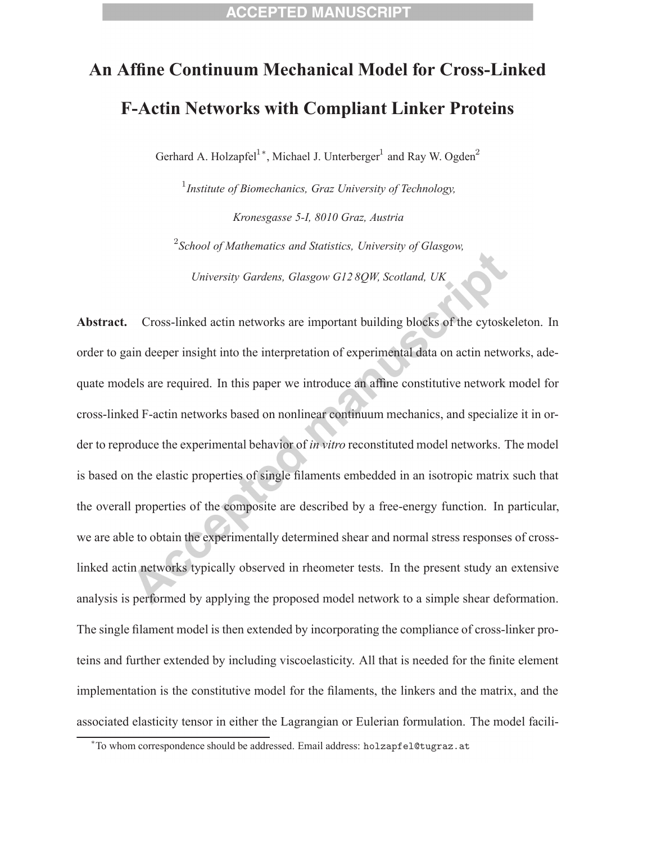# **An Affine Continuum Mechanical Model for Cross-Linked F-Actin Networks with Compliant Linker Proteins**

Gerhard A. Holzapfel<sup>1</sup><sup>\*</sup>, Michael J. Unterberger<sup>1</sup> and Ray W. Ogden<sup>2</sup>

1 *Institute of Biomechanics, Graz University of Technology, Kronesgasse 5-I, 8010 Graz, Austria* 2 *School of Mathematics and Statistics, University of Glasgow,*

*University Gardens, Glasgow G12 8QW, Scotland, UK*

**Abstract.** Cross-linked actin networks are important building blocks of the cytoskeleton. In order to gain deeper insight into the interpretation of experimental data on actin networks, adequate models are required. In this paper we introduce an affine constitutive network model for cross-linked F-actin networks based on nonlinear continuum mechanics, and specialize it in order to reproduce the experimental behavior of *in vitro* reconstituted model networks. The model is based on the elastic properties of single filaments embedded in an isotropic matrix such that the overall properties of the composite are described by a free-energy function. In particular, we are able to obtain the experimentally determined shear and normal stress responses of crosslinked actin networks typically observed in rheometer tests. In the present study an extensive analysis is performed by applying the proposed model network to a simple shear deformation. The single filament model is then extended by incorporating the compliance of cross-linker proteins and further extended by including viscoelasticity. All that is needed for the finite element implementation is the constitutive model for the filaments, the linkers and the matrix, and the associated elasticity tensor in either the Lagrangian or Eulerian formulation. The model facili-

<sup>∗</sup> To whom correspondence should be addressed. Email address: holzapfel@tugraz.at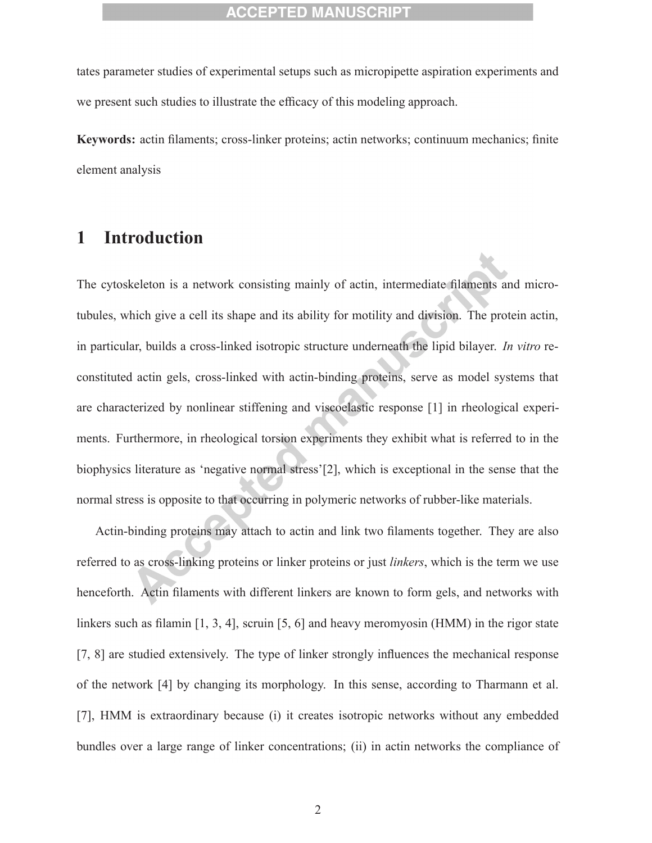tates parameter studies of experimental setups such as micropipette aspiration experiments and we present such studies to illustrate the efficacy of this modeling approach.

**Keywords:** actin filaments; cross-linker proteins; actin networks; continuum mechanics; finite element analysis

# **1 Introduction**

The cytoskeleton is a network consisting mainly of actin, intermediate filaments and microtubules, which give a cell its shape and its ability for motility and division. The protein actin, in particular, builds a cross-linked isotropic structure underneath the lipid bilayer. *In vitro* reconstituted actin gels, cross-linked with actin-binding proteins, serve as model systems that are characterized by nonlinear stiffening and viscoelastic response [1] in rheological experiments. Furthermore, in rheological torsion experiments they exhibit what is referred to in the biophysics literature as 'negative normal stress'[2], which is exceptional in the sense that the normal stress is opposite to that occurring in polymeric networks of rubber-like materials.

Actin-binding proteins may attach to actin and link two filaments together. They are also referred to as cross-linking proteins or linker proteins or just *linkers*, which is the term we use henceforth. Actin filaments with different linkers are known to form gels, and networks with linkers such as filamin [1, 3, 4], scruin [5, 6] and heavy meromyosin (HMM) in the rigor state [7, 8] are studied extensively. The type of linker strongly influences the mechanical response of the network [4] by changing its morphology. In this sense, according to Tharmann et al. [7], HMM is extraordinary because (i) it creates isotropic networks without any embedded bundles over a large range of linker concentrations; (ii) in actin networks the compliance of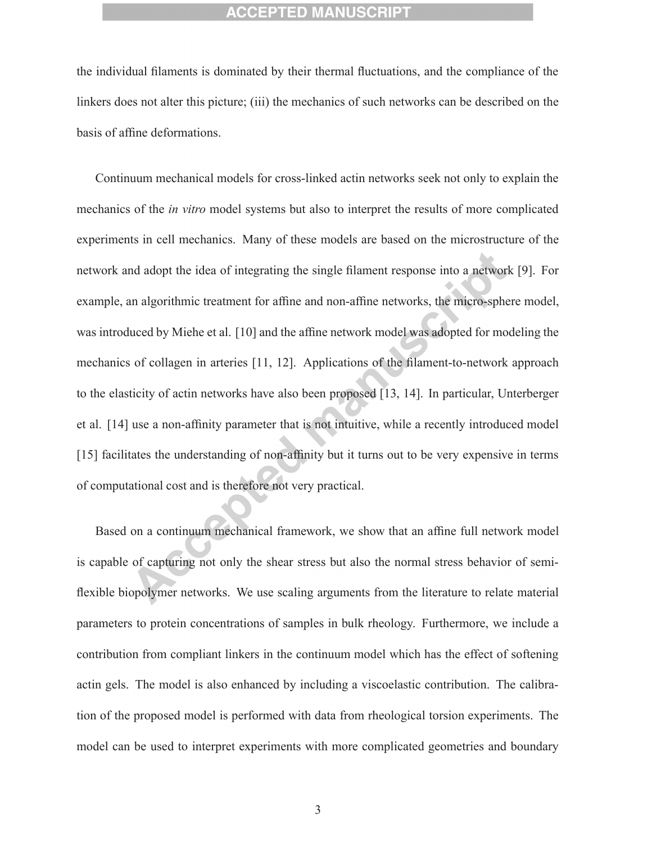the individual filaments is dominated by their thermal fluctuations, and the compliance of the linkers does not alter this picture; (iii) the mechanics of such networks can be described on the basis of affine deformations.

Continuum mechanical models for cross-linked actin networks seek not only to explain the mechanics of the *in vitro* model systems but also to interpret the results of more complicated experiments in cell mechanics. Many of these models are based on the microstructure of the network and adopt the idea of integrating the single filament response into a network [9]. For example, an algorithmic treatment for affine and non-affine networks, the micro-sphere model, was introduced by Miehe et al. [10] and the affine network model was adopted for modeling the mechanics of collagen in arteries [11, 12]. Applications of the filament-to-network approach to the elasticity of actin networks have also been proposed [13, 14]. In particular, Unterberger et al. [14] use a non-affinity parameter that is not intuitive, while a recently introduced model [15] facilitates the understanding of non-affinity but it turns out to be very expensive in terms of computational cost and is therefore not very practical.

Based on a continuum mechanical framework, we show that an affine full network model is capable of capturing not only the shear stress but also the normal stress behavior of semiflexible biopolymer networks. We use scaling arguments from the literature to relate material parameters to protein concentrations of samples in bulk rheology. Furthermore, we include a contribution from compliant linkers in the continuum model which has the effect of softening actin gels. The model is also enhanced by including a viscoelastic contribution. The calibration of the proposed model is performed with data from rheological torsion experiments. The model can be used to interpret experiments with more complicated geometries and boundary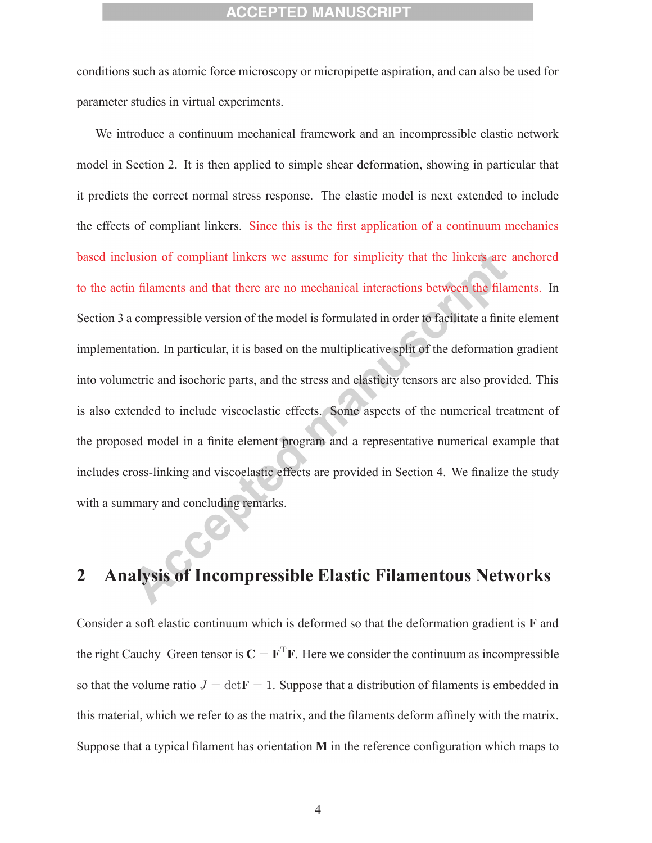conditions such as atomic force microscopy or micropipette aspiration, and can also be used for parameter studies in virtual experiments.

We introduce a continuum mechanical framework and an incompressible elastic network model in Section 2. It is then applied to simple shear deformation, showing in particular that it predicts the correct normal stress response. The elastic model is next extended to include the effects of compliant linkers. Since this is the first application of a continuum mechanics based inclusion of compliant linkers we assume for simplicity that the linkers are anchored to the actin filaments and that there are no mechanical interactions between the filaments. In Section 3 a compressible version of the model is formulated in order to facilitate a finite element implementation. In particular, it is based on the multiplicative split of the deformation gradient into volumetric and isochoric parts, and the stress and elasticity tensors are also provided. This is also extended to include viscoelastic effects. Some aspects of the numerical treatment of the proposed model in a finite element program and a representative numerical example that includes cross-linking and viscoelastic effects are provided in Section 4. We finalize the study with a summary and concluding remarks.

# **2 Analysis of Incompressible Elastic Filamentous Networks**

Consider a soft elastic continuum which is deformed so that the deformation gradient is **F** and the right Cauchy–Green tensor is  $C = F^{T}F$ . Here we consider the continuum as incompressible so that the volume ratio  $J = det\mathbf{F} = 1$ . Suppose that a distribution of filaments is embedded in this material, which we refer to as the matrix, and the filaments deform affinely with the matrix. Suppose that a typical filament has orientation **M** in the reference configuration which maps to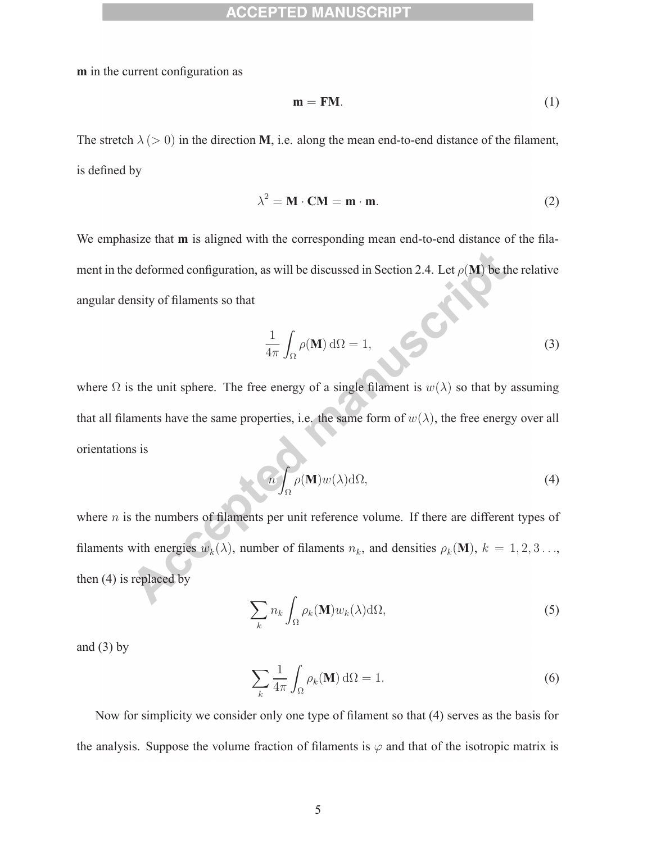**m** in the current configuration as

$$
\mathbf{m} = \mathbf{F}\mathbf{M}.\tag{1}
$$

The stretch  $\lambda$  ( $>$  0) in the direction **M**, i.e. along the mean end-to-end distance of the filament, is defined by

$$
\lambda^2 = \mathbf{M} \cdot \mathbf{C} \mathbf{M} = \mathbf{m} \cdot \mathbf{m}.\tag{2}
$$

We emphasize that **m** is aligned with the corresponding mean end-to-end distance of the filament in the deformed configuration, as will be discussed in Section 2.4. Let  $\rho(\mathbf{M})$  be the relative angular density of filaments so that

$$
\frac{1}{4\pi} \int_{\Omega} \rho(\mathbf{M}) \, d\Omega = 1,\tag{3}
$$

where  $\Omega$  is the unit sphere. The free energy of a single filament is  $w(\lambda)$  so that by assuming that all filaments have the same properties, i.e. the same form of  $w(\lambda)$ , the free energy over all orientations is

$$
\mathcal{L}\int_{\Omega}\rho(\mathbf{M})w(\lambda)d\Omega,\tag{4}
$$

where  $n$  is the numbers of filaments per unit reference volume. If there are different types of filaments with energies  $w_k(\lambda)$ , number of filaments  $n_k$ , and densities  $\rho_k(\mathbf{M})$ ,  $k = 1, 2, 3 \ldots$ , then (4) is replaced by

$$
\sum_{k} n_{k} \int_{\Omega} \rho_{k}(\mathbf{M}) w_{k}(\lambda) d\Omega,
$$
\n(5)

and  $(3)$  by

$$
\sum_{k} \frac{1}{4\pi} \int_{\Omega} \rho_k(\mathbf{M}) \, d\Omega = 1.
$$
 (6)

Now for simplicity we consider only one type of filament so that (4) serves as the basis for the analysis. Suppose the volume fraction of filaments is  $\varphi$  and that of the isotropic matrix is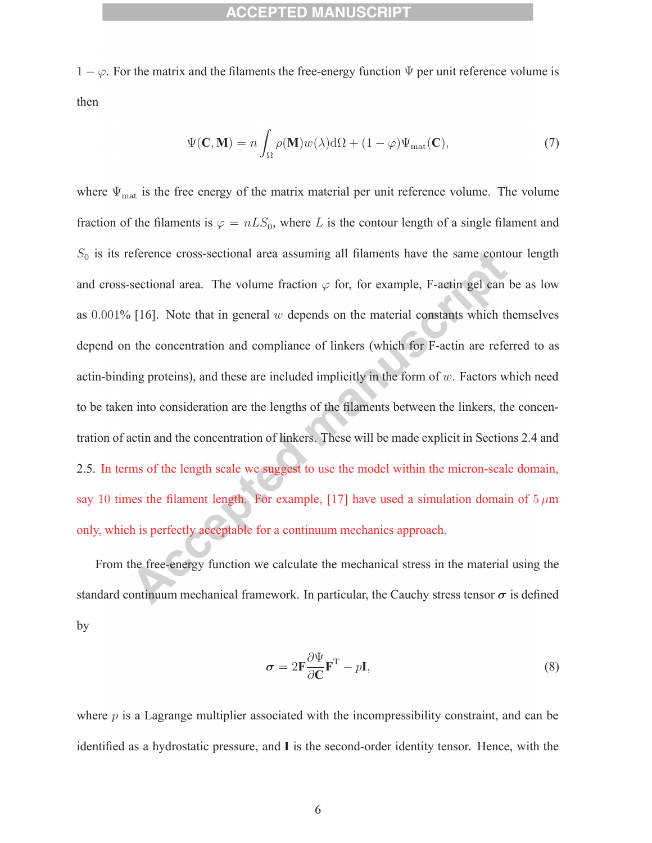$1 - \varphi$ . For the matrix and the filaments the free-energy function  $\Psi$  per unit reference volume is then

$$
\Psi(\mathbf{C}, \mathbf{M}) = n \int_{\Omega} \rho(\mathbf{M}) w(\lambda) d\Omega + (1 - \varphi) \Psi_{\text{mat}}(\mathbf{C}), \tag{7}
$$

where  $\Psi_{\rm mat}$  is the free energy of the matrix material per unit reference volume. The volume fraction of the filaments is  $\varphi = nLS_0$ , where L is the contour length of a single filament and  $S_0$  is its reference cross-sectional area assuming all filaments have the same contour length and cross-sectional area. The volume fraction  $\varphi$  for, for example, F-actin gel can be as low as  $0.001\%$  [16]. Note that in general w depends on the material constants which themselves depend on the concentration and compliance of linkers (which for F-actin are referred to as actin-binding proteins), and these are included implicitly in the form of  $w$ . Factors which need to be taken into consideration are the lengths of the filaments between the linkers, the concentration of actin and the concentration of linkers. These will be made explicit in Sections 2.4 and 2.5. In terms of the length scale we suggest to use the model within the micron-scale domain, say 10 times the filament length. For example, [17] have used a simulation domain of  $5 \mu m$ only, which is perfectly acceptable for a continuum mechanics approach.

From the free-energy function we calculate the mechanical stress in the material using the standard continuum mechanical framework. In particular, the Cauchy stress tensor  $\sigma$  is defined by

$$
\sigma = 2\mathbf{F} \frac{\partial \Psi}{\partial \mathbf{C}} \mathbf{F}^{\mathrm{T}} - p\mathbf{I},\tag{8}
$$

where  $p$  is a Lagrange multiplier associated with the incompressibility constraint, and can be identified as a hydrostatic pressure, and **I** is the second-order identity tensor. Hence, with the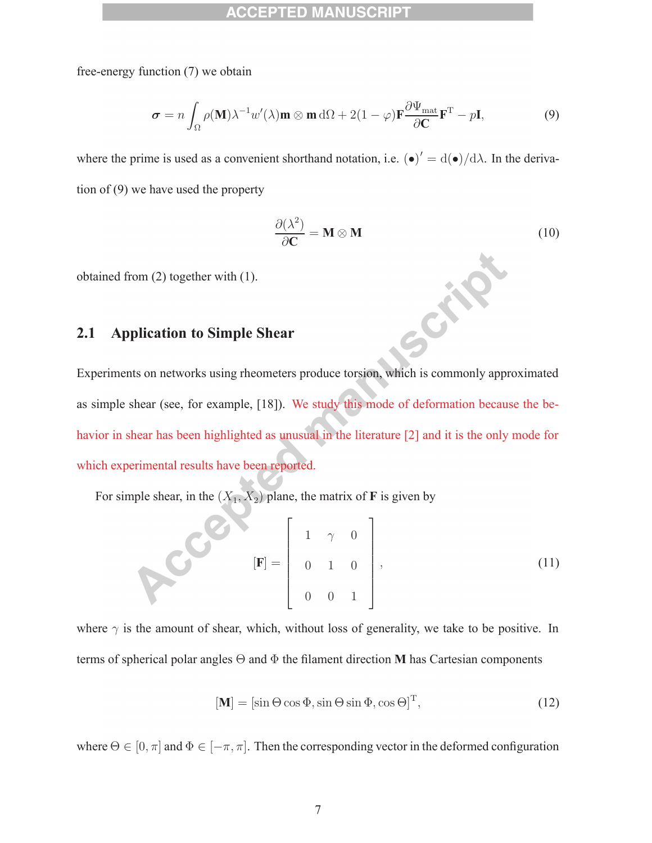free-energy function (7) we obtain

$$
\boldsymbol{\sigma} = n \int_{\Omega} \rho(\mathbf{M}) \lambda^{-1} w'(\lambda) \mathbf{m} \otimes \mathbf{m} \, d\Omega + 2(1 - \varphi) \mathbf{F} \frac{\partial \Psi_{\text{mat}}}{\partial \mathbf{C}} \mathbf{F}^{\text{T}} - p \mathbf{I}, \tag{9}
$$

where the prime is used as a convenient shorthand notation, i.e.  $(\bullet)' = d(\bullet)/d\lambda$ . In the derivation of (9) we have used the property

$$
\frac{\partial(\lambda^2)}{\partial \mathbf{C}} = \mathbf{M} \otimes \mathbf{M} \tag{10}
$$

Cite

obtained from (2) together with (1).

### **2.1 Application to Simple Shear**

Experiments on networks using rheometers produce torsion, which is commonly approximated as simple shear (see, for example, [18]). We study this mode of deformation because the behavior in shear has been highlighted as unusual in the literature [2] and it is the only mode for which experimental results have been reported.

For simple shear, in the  $(X_1, X_2)$  plane, the matrix of **F** is given by

$$
\mathbf{[F]} = \begin{bmatrix} 1 & \gamma & 0 \\ 0 & 1 & 0 \\ 0 & 0 & 1 \end{bmatrix},\tag{11}
$$

where  $\gamma$  is the amount of shear, which, without loss of generality, we take to be positive. In terms of spherical polar angles Θ and Φ the filament direction **M** has Cartesian components

$$
[\mathbf{M}] = [\sin \Theta \cos \Phi, \sin \Theta \sin \Phi, \cos \Theta]^{\mathrm{T}}, \tag{12}
$$

where  $\Theta \in [0, \pi]$  and  $\Phi \in [-\pi, \pi]$ . Then the corresponding vector in the deformed configuration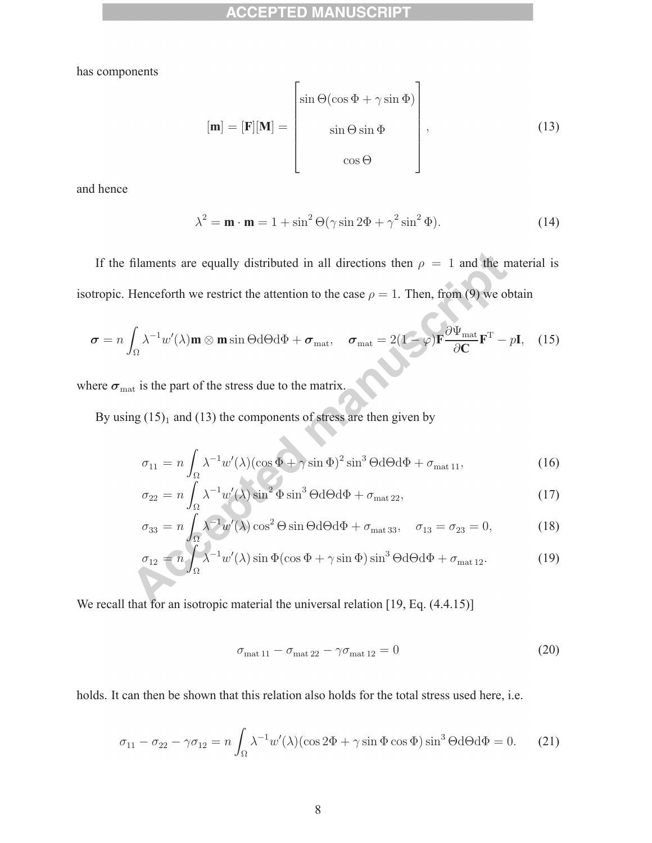has components

$$
[\mathbf{m}] = [\mathbf{F}][\mathbf{M}] = \begin{bmatrix} \sin \Theta(\cos \Phi + \gamma \sin \Phi) \\ \sin \Theta \sin \Phi \\ \cos \Theta \end{bmatrix},
$$
(13)

and hence

$$
\lambda^2 = \mathbf{m} \cdot \mathbf{m} = 1 + \sin^2 \Theta(\gamma \sin 2\Phi + \gamma^2 \sin^2 \Phi). \tag{14}
$$

If the filaments are equally distributed in all directions then  $\rho = 1$  and the material is isotropic. Henceforth we restrict the attention to the case  $\rho = 1$ . Then, from (9) we obtain

$$
\boldsymbol{\sigma} = n \int_{\Omega} \lambda^{-1} w'(\lambda) \mathbf{m} \otimes \mathbf{m} \sin \Theta d\Theta d\Phi + \boldsymbol{\sigma}_{\text{mat}}, \quad \boldsymbol{\sigma}_{\text{mat}} = 2(1 - \varphi) \mathbf{F} \frac{\partial \Psi_{\text{mat}}}{\partial \mathbf{C}} \mathbf{F}^{\text{T}} - p \mathbf{I}, \quad (15)
$$

where  $\sigma_{\text{mat}}$  is the part of the stress due to the matrix.

By using  $(15)_1$  and  $(13)$  the components of stress are then given by

$$
\sigma_{11} = n \int_{\Omega} \lambda^{-1} w'(\lambda) (\cos \Phi + \gamma \sin \Phi)^2 \sin^3 \Theta d\Theta d\Phi + \sigma_{\text{mat 11}}, \tag{16}
$$

$$
\sigma_{22} = n \int_{\Omega} \lambda^{-1} w'(\lambda) \sin^2 \Phi \sin^3 \Theta d\Theta d\Phi + \sigma_{\text{mat 22}},\tag{17}
$$

$$
\sigma_{33} = n \int_{\Omega} \lambda^{-1} w'(\lambda) \cos^2 \Theta \sin \Theta d\Theta d\Phi + \sigma_{\text{mat 33}}, \quad \sigma_{13} = \sigma_{23} = 0,
$$
 (18)

$$
\sigma_{12} = n \int_{\Omega} \lambda^{-1} w'(\lambda) \sin \Phi(\cos \Phi + \gamma \sin \Phi) \sin^3 \Theta d\Theta d\Phi + \sigma_{\text{mat 12}}.
$$
 (19)

We recall that for an isotropic material the universal relation [19, Eq.  $(4.4.15)$ ]

$$
\sigma_{\text{mat 11}} - \sigma_{\text{mat 22}} - \gamma \sigma_{\text{mat 12}} = 0 \tag{20}
$$

holds. It can then be shown that this relation also holds for the total stress used here, i.e.

$$
\sigma_{11} - \sigma_{22} - \gamma \sigma_{12} = n \int_{\Omega} \lambda^{-1} w'(\lambda) (\cos 2\Phi + \gamma \sin \Phi \cos \Phi) \sin^3 \Theta d\Theta d\Phi = 0.
$$
 (21)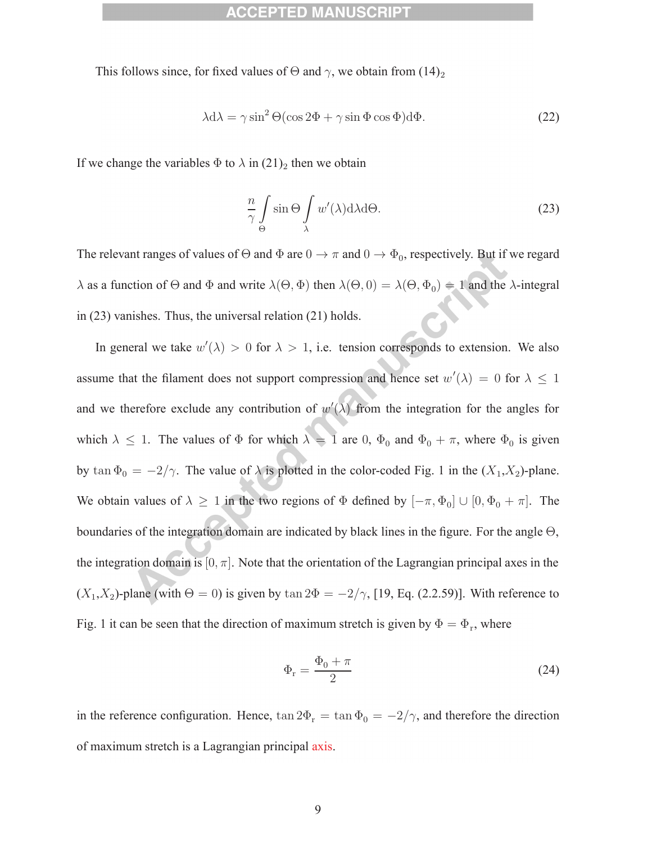This follows since, for fixed values of  $\Theta$  and  $\gamma$ , we obtain from (14)<sub>2</sub>

$$
\lambda d\lambda = \gamma \sin^2 \Theta (\cos 2\Phi + \gamma \sin \Phi \cos \Phi) d\Phi.
$$
 (22)

If we change the variables  $\Phi$  to  $\lambda$  in  $(21)_2$  then we obtain

$$
\frac{n}{\gamma} \int_{\Theta} \sin \Theta \int_{\lambda} w'(\lambda) d\lambda d\Theta.
$$
 (23)

The relevant ranges of values of  $\Theta$  and  $\Phi$  are  $0 \to \pi$  and  $0 \to \Phi_0$ , respectively. But if we regard  $\lambda$  as a function of  $\Theta$  and  $\Phi$  and write  $\lambda(\Theta, \Phi)$  then  $\lambda(\Theta, 0) = \lambda(\Theta, \Phi_0) = 1$  and the  $\lambda$ -integral in (23) vanishes. Thus, the universal relation (21) holds.

In general we take  $w'(\lambda) > 0$  for  $\lambda > 1$ , i.e. tension corresponds to extension. We also assume that the filament does not support compression and hence set  $w'(\lambda) = 0$  for  $\lambda \leq 1$ and we therefore exclude any contribution of  $w'(\lambda)$  from the integration for the angles for which  $\lambda \leq 1$ . The values of  $\Phi$  for which  $\lambda = 1$  are 0,  $\Phi_0$  and  $\Phi_0 + \pi$ , where  $\Phi_0$  is given by tan  $\Phi_0 = -2/\gamma$ . The value of  $\lambda$  is plotted in the color-coded Fig. 1 in the  $(X_1, X_2)$ -plane. We obtain values of  $\lambda \geq 1$  in the two regions of  $\Phi$  defined by  $[-\pi, \Phi_0] \cup [0, \Phi_0 + \pi]$ . The boundaries of the integration domain are indicated by black lines in the figure. For the angle Θ, the integration domain is  $[0, \pi]$ . Note that the orientation of the Lagrangian principal axes in the  $(X_1, X_2)$ -plane (with  $\Theta = 0$ ) is given by tan  $2\Phi = -2/\gamma$ , [19, Eq. (2.2.59)]. With reference to Fig. 1 it can be seen that the direction of maximum stretch is given by  $\Phi = \Phi_r$ , where

$$
\Phi_{\rm r} = \frac{\Phi_0 + \pi}{2} \tag{24}
$$

in the reference configuration. Hence,  $\tan 2\Phi_{\rm r} = \tan \Phi_0 = -2/\gamma$ , and therefore the direction of maximum stretch is a Lagrangian principal axis.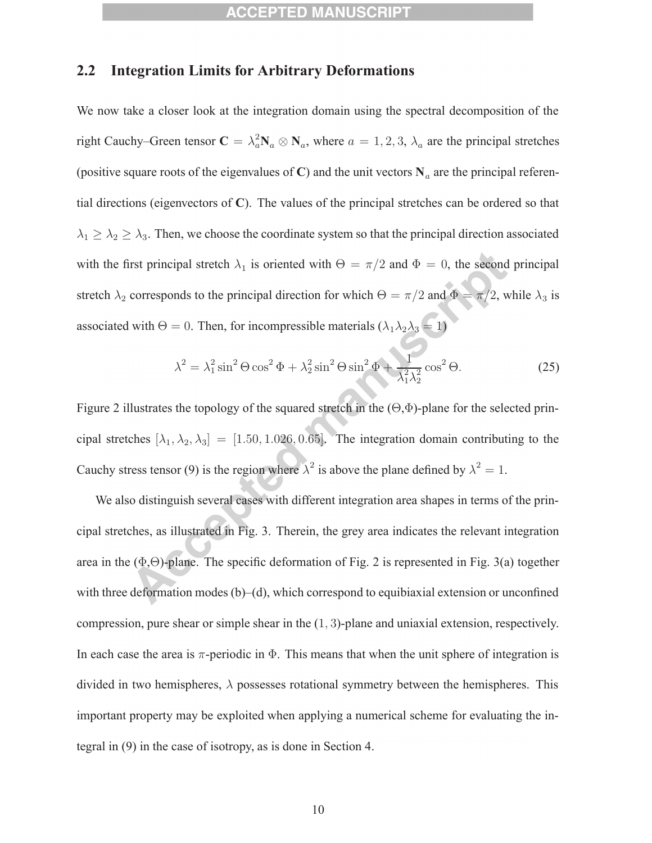### **2.2 Integration Limits for Arbitrary Deformations**

We now take a closer look at the integration domain using the spectral decomposition of the right Cauchy–Green tensor  $\mathbf{C} = \lambda_a^2 \mathbf{N}_a \otimes \mathbf{N}_a$ , where  $a = 1, 2, 3, \lambda_a$  are the principal stretches (positive square roots of the eigenvalues of **C**) and the unit vectors  $N_a$  are the principal referential directions (eigenvectors of **C**). The values of the principal stretches can be ordered so that  $\lambda_1 \geq \lambda_2 \geq \lambda_3$ . Then, we choose the coordinate system so that the principal direction associated with the first principal stretch  $\lambda_1$  is oriented with  $\Theta = \pi/2$  and  $\Phi = 0$ , the second principal stretch  $\lambda_2$  corresponds to the principal direction for which  $\Theta = \pi/2$  and  $\Phi = \pi/2$ , while  $\lambda_3$  is associated with  $\Theta = 0$ . Then, for incompressible materials  $(\lambda_1 \lambda_2 \lambda_3 = 1)$ 

$$
\lambda^2 = \lambda_1^2 \sin^2 \Theta \cos^2 \Phi + \lambda_2^2 \sin^2 \Theta \sin^2 \Phi + \frac{1}{\lambda_1^2 \lambda_2^2} \cos^2 \Theta.
$$
 (25)

Figure 2 illustrates the topology of the squared stretch in the  $(\Theta, \Phi)$ -plane for the selected principal stretches  $[\lambda_1, \lambda_2, \lambda_3] = [1.50, 1.026, 0.65]$ . The integration domain contributing to the Cauchy stress tensor (9) is the region where  $\lambda^2$  is above the plane defined by  $\lambda^2 = 1$ .

We also distinguish several cases with different integration area shapes in terms of the principal stretches, as illustrated in Fig. 3. Therein, the grey area indicates the relevant integration area in the  $(\Phi, \Theta)$ -plane. The specific deformation of Fig. 2 is represented in Fig. 3(a) together with three deformation modes (b)–(d), which correspond to equibiaxial extension or unconfined compression, pure shear or simple shear in the (1, 3)-plane and uniaxial extension, respectively. In each case the area is  $\pi$ -periodic in  $\Phi$ . This means that when the unit sphere of integration is divided in two hemispheres,  $\lambda$  possesses rotational symmetry between the hemispheres. This important property may be exploited when applying a numerical scheme for evaluating the integral in (9) in the case of isotropy, as is done in Section 4.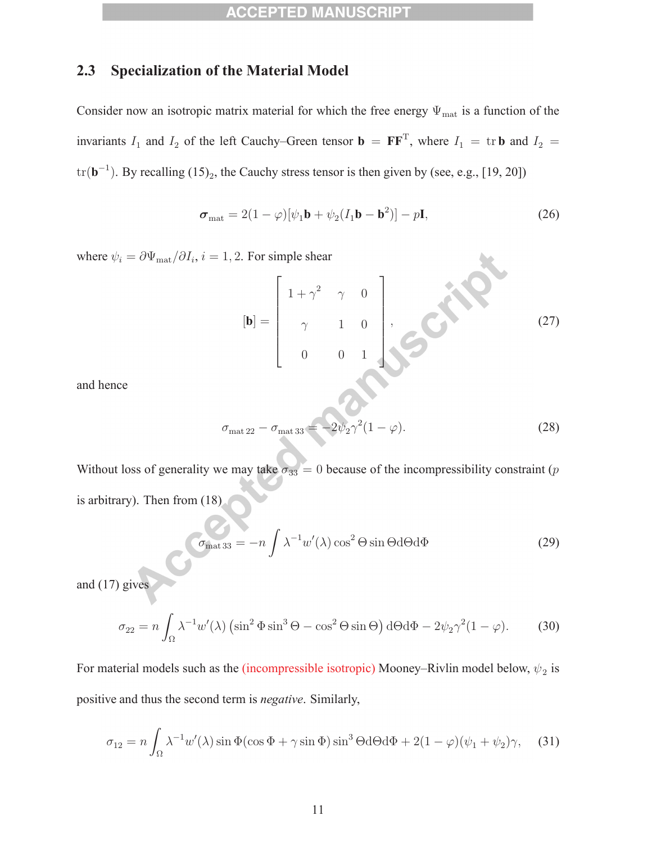### **2.3 Specialization of the Material Model**

Consider now an isotropic matrix material for which the free energy  $\Psi_{\text{mat}}$  is a function of the invariants  $I_1$  and  $I_2$  of the left Cauchy–Green tensor **b** =  $\mathbf{F}\mathbf{F}^T$ , where  $I_1$  = tr **b** and  $I_2$  =  $\text{tr}(\mathbf{b}^{-1})$ . By recalling (15)<sub>2</sub>, the Cauchy stress tensor is then given by (see, e.g., [19, 20])

$$
\boldsymbol{\sigma}_{\text{mat}} = 2(1 - \varphi)[\psi_1 \mathbf{b} + \psi_2 (I_1 \mathbf{b} - \mathbf{b}^2)] - p\mathbf{I},\tag{26}
$$

where  $\psi_i = \partial \Psi_{\text{mat}} / \partial I_i$ ,  $i = 1, 2$ . For simple shear

$$
[\mathbf{b}] = \begin{bmatrix} 1 + \gamma^2 & \gamma & 0 \\ \gamma & 1 & 0 \\ 0 & 0 & 1 \end{bmatrix}, \qquad (27)
$$

X

and hence

$$
\sigma_{\text{mat 22}} - \sigma_{\text{mat 33}} = -2\psi_2 \gamma^2 (1 - \varphi). \tag{28}
$$

Without loss of generality we may take  $\sigma_{33} = 0$  because of the incompressibility constraint (p is arbitrary). Then from (18)

$$
\sigma_{\text{mat 33}} = -n \int \lambda^{-1} w'(\lambda) \cos^2 \Theta \sin \Theta \, d\Theta \, d\Phi \tag{29}
$$

and  $(17)$  giv

$$
\sigma_{22} = n \int_{\Omega} \lambda^{-1} w'(\lambda) \left( \sin^2 \Phi \sin^3 \Theta - \cos^2 \Theta \sin \Theta \right) d\Theta d\Phi - 2\psi_2 \gamma^2 (1 - \varphi). \tag{30}
$$

For material models such as the (incompressible isotropic) Mooney–Rivlin model below,  $\psi_2$  is positive and thus the second term is *negative*. Similarly,

$$
\sigma_{12} = n \int_{\Omega} \lambda^{-1} w'(\lambda) \sin \Phi(\cos \Phi + \gamma \sin \Phi) \sin^3 \Theta d\Theta d\Phi + 2(1 - \varphi)(\psi_1 + \psi_2)\gamma, \quad (31)
$$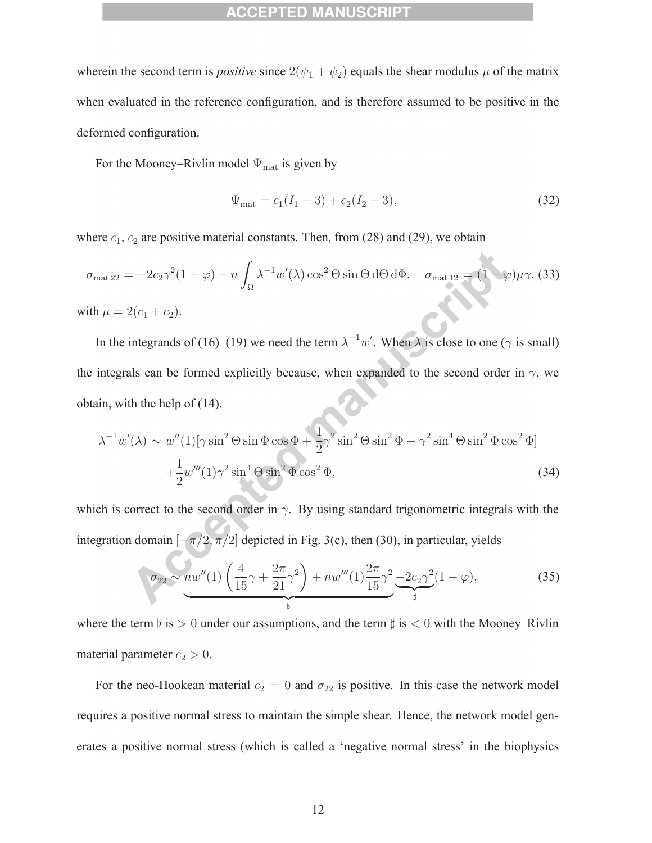wherein the second term is *positive* since  $2(\psi_1 + \psi_2)$  equals the shear modulus  $\mu$  of the matrix when evaluated in the reference configuration, and is therefore assumed to be positive in the deformed configuration.

For the Mooney–Rivlin model  $\Psi_{\text{mat}}$  is given by

$$
\Psi_{\text{mat}} = c_1(I_1 - 3) + c_2(I_2 - 3),\tag{32}
$$

where  $c_1$ ,  $c_2$  are positive material constants. Then, from (28) and (29), we obtain

$$
\sigma_{\text{mat 22}} = -2c_2\gamma^2(1-\varphi) - n \int_{\Omega} \lambda^{-1} w'(\lambda) \cos^2 \Theta \sin \Theta \, d\Theta \, d\Phi, \quad \sigma_{\text{mat 12}} = (1-\varphi)\mu\gamma, \text{ (33)}
$$

with  $\mu = 2(c_1 + c_2)$ .

In the integrands of (16)–(19) we need the term  $\lambda^{-1}w'$ . When  $\lambda$  is close to one ( $\gamma$  is small) the integrals can be formed explicitly because, when expanded to the second order in  $\gamma$ , we obtain, with the help of (14),

$$
\lambda^{-1}w'(\lambda) \sim w''(1)[\gamma \sin^2 \Theta \sin \Phi \cos \Phi + \frac{1}{2}\gamma^2 \sin^2 \Theta \sin^2 \Phi - \gamma^2 \sin^4 \Theta \sin^2 \Phi \cos^2 \Phi]
$$
  
 
$$
+ \frac{1}{2}w'''(1)\gamma^2 \sin^4 \Theta \sin^2 \Phi \cos^2 \Phi,
$$
 (34)

which is correct to the second order in  $\gamma$ . By using standard trigonometric integrals with the integration domain  $[-\pi/2, \pi/2]$  depicted in Fig. 3(c), then (30), in particular, yields

$$
\sigma_{22} \sim nw''(1) \left(\frac{4}{15}\gamma + \frac{2\pi}{21}\gamma^2\right) + nw'''(1) \frac{2\pi}{15}\gamma^2 \underbrace{-2c_2\gamma^2}_{\sharp}(1-\varphi),\tag{35}
$$

where the term  $\flat$  is  $> 0$  under our assumptions, and the term  $\sharp$  is  $< 0$  with the Mooney–Rivlin material parameter  $c_2 > 0$ .

For the neo-Hookean material  $c_2 = 0$  and  $\sigma_{22}$  is positive. In this case the network model requires a positive normal stress to maintain the simple shear. Hence, the network model generates a positive normal stress (which is called a 'negative normal stress' in the biophysics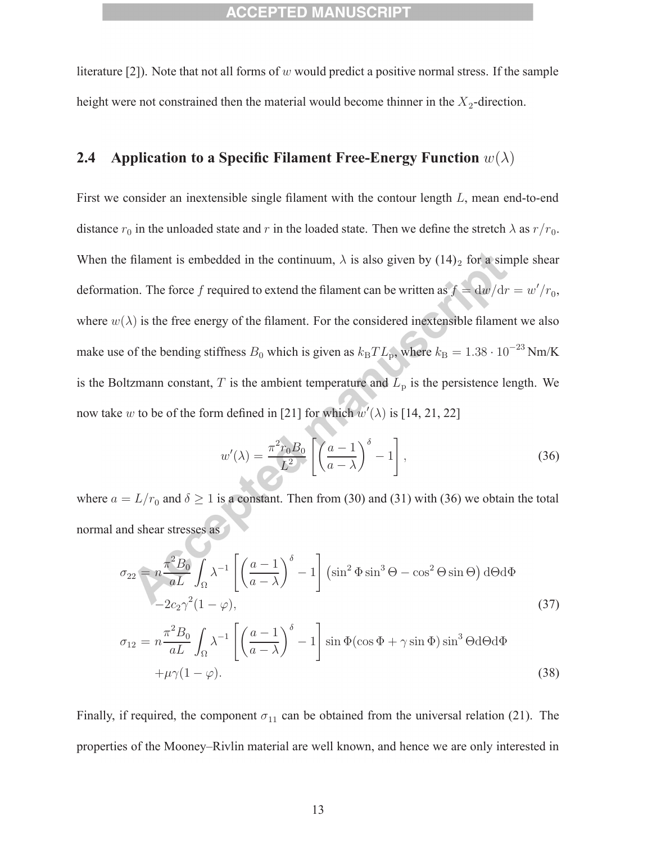literature [2]). Note that not all forms of w would predict a positive normal stress. If the sample height were not constrained then the material would become thinner in the  $X_2$ -direction.

### **2.4 Application to a Specific Filament Free-Energy Function** w(λ)

First we consider an inextensible single filament with the contour length L, mean end-to-end distance  $r_0$  in the unloaded state and r in the loaded state. Then we define the stretch  $\lambda$  as  $r/r_0$ . When the filament is embedded in the continuum,  $\lambda$  is also given by (14)<sub>2</sub> for a simple shear deformation. The force f required to extend the filament can be written as  $f = dw/dr = w'/r_0$ , where  $w(\lambda)$  is the free energy of the filament. For the considered inextensible filament we also make use of the bending stiffness  $B_0$  which is given as  $k_BTL_p$ , where  $k_B = 1.38 \cdot 10^{-23}$  Nm/K is the Boltzmann constant, T is the ambient temperature and  $\overline{L}_{\rm p}$  is the persistence length. We now take w to be of the form defined in [21] for which  $w'(\lambda)$  is [14, 21, 22]

$$
w'(\lambda) = \frac{\pi^2 r_0 B_0}{L^2} \left[ \left( \frac{a-1}{a-\lambda} \right)^{\delta} - 1 \right],
$$
\n(36)

where  $a = L/r_0$  and  $\delta \ge 1$  is a constant. Then from (30) and (31) with (36) we obtain the total normal and shear stresses as

$$
\sigma_{22} = n \frac{\pi^2 B_0}{aL} \int_{\Omega} \lambda^{-1} \left[ \left( \frac{a-1}{a-\lambda} \right)^{\delta} - 1 \right] (\sin^2 \Phi \sin^3 \Theta - \cos^2 \Theta \sin \Theta) d\Theta d\Phi
$$
  
-2c<sub>2</sub>\gamma<sup>2</sup>(1 - \varphi), (37)

$$
\sigma_{12} = n \frac{\pi^2 B_0}{aL} \int_{\Omega} \lambda^{-1} \left[ \left( \frac{a-1}{a-\lambda} \right)^{\delta} - 1 \right] \sin \Phi(\cos \Phi + \gamma \sin \Phi) \sin^3 \Theta d\Theta d\Phi + \mu \gamma (1-\varphi).
$$
 (38)

Finally, if required, the component  $\sigma_{11}$  can be obtained from the universal relation (21). The properties of the Mooney–Rivlin material are well known, and hence we are only interested in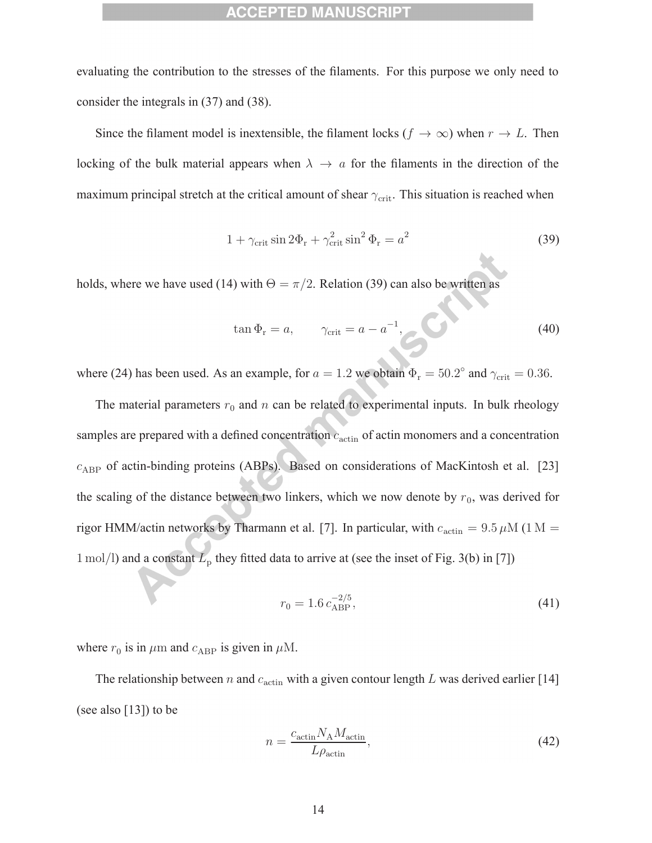evaluating the contribution to the stresses of the filaments. For this purpose we only need to consider the integrals in (37) and (38).

Since the filament model is inextensible, the filament locks ( $f \to \infty$ ) when  $r \to L$ . Then locking of the bulk material appears when  $\lambda \to a$  for the filaments in the direction of the maximum principal stretch at the critical amount of shear  $\gamma_{\text{crit}}$ . This situation is reached when

$$
1 + \gamma_{\text{crit}} \sin 2\Phi_{\text{r}} + \gamma_{\text{crit}}^2 \sin^2 \Phi_{\text{r}} = a^2 \tag{39}
$$

holds, where we have used (14) with  $\Theta = \pi/2$ . Relation (39) can also be written as

$$
\tan \Phi_{\rm r} = a, \qquad \gamma_{\rm crit} = a - a^{-1}, \qquad (40)
$$

where (24) has been used. As an example, for  $a = 1.2$  we obtain  $\Phi_r = 50.2^\circ$  and  $\gamma_{\text{crit}} = 0.36$ .

The material parameters  $r_0$  and n can be related to experimental inputs. In bulk rheology samples are prepared with a defined concentration  $c_{\text{actin}}$  of actin monomers and a concentration  $c_{ABP}$  of actin-binding proteins (ABPs). Based on considerations of MacKintosh et al. [23] the scaling of the distance between two linkers, which we now denote by  $r_0$ , was derived for rigor HMM/actin networks by Tharmann et al. [7]. In particular, with  $c_{\rm actin} = 9.5 \,\rm \mu M$  (1 M = 1 mol/l) and a constant  $L_p$  they fitted data to arrive at (see the inset of Fig. 3(b) in [7])

$$
r_0 = 1.6 \, c_{\rm ABP}^{-2/5},\tag{41}
$$

where  $r_0$  is in  $\mu$ m and  $c_{ABP}$  is given in  $\mu$ M.

The relationship between n and  $c_{\text{actin}}$  with a given contour length L was derived earlier [14] (see also [13]) to be

$$
n = \frac{c_{\text{actin}} N_{\text{A}} M_{\text{actin}}}{L \rho_{\text{actin}}},\tag{42}
$$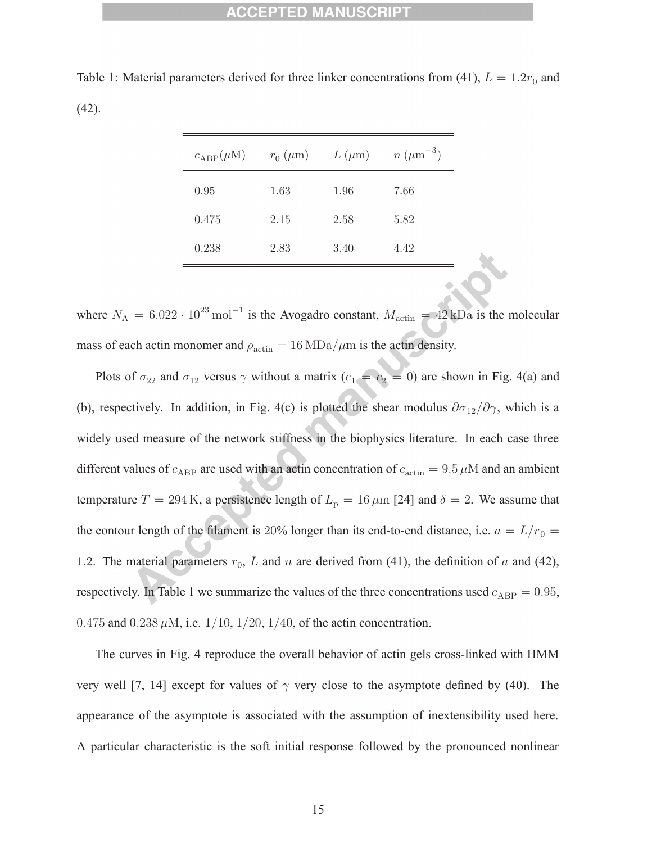| $c_{ABP}(\mu M)$ | $r_0$ ( $\mu$ m) | $L(\mu m)$ | $n (\mu m^{-3})$ |
|------------------|------------------|------------|------------------|
| 0.95             | 1.63             | 1.96       | 7.66             |
| 0.475            | 2.15             | 2.58       | 5.82             |
| 0.238            | 2.83             | 3.40       | 4.42             |

Table 1: Material parameters derived for three linker concentrations from (41),  $L = 1.2r_0$  and (42).

where  $N_A = 6.022 \cdot 10^{23} \text{ mol}^{-1}$  is the Avogadro constant,  $M_{\text{actin}} = 42 \text{ kDa}$  is the molecular mass of each actin monomer and  $\rho_{\text{actin}} = 16 \text{ MDa}/\mu \text{m}$  is the actin density.

Plots of  $\sigma_{22}$  and  $\sigma_{12}$  versus  $\gamma$  without a matrix  $(c_1 = c_2 = 0)$  are shown in Fig. 4(a) and (b), respectively. In addition, in Fig. 4(c) is plotted the shear modulus  $\partial \sigma_{12}/\partial \gamma$ , which is a widely used measure of the network stiffness in the biophysics literature. In each case three different values of  $c_{ABP}$  are used with an actin concentration of  $c_{\text{actin}} = 9.5 \,\mu\text{M}$  and an ambient temperature  $T = 294$  K, a persistence length of  $L_p = 16 \,\mu\text{m}$  [24] and  $\delta = 2$ . We assume that the contour length of the filament is 20% longer than its end-to-end distance, i.e.  $a = L/r_0 =$ 1.2. The material parameters  $r_0$ , L and n are derived from (41), the definition of a and (42), respectively. In Table 1 we summarize the values of the three concentrations used  $c_{ABP} = 0.95$ , 0.475 and 0.238  $\mu$ M, i.e. 1/10, 1/20, 1/40, of the actin concentration.

The curves in Fig. 4 reproduce the overall behavior of actin gels cross-linked with HMM very well [7, 14] except for values of  $\gamma$  very close to the asymptote defined by (40). The appearance of the asymptote is associated with the assumption of inextensibility used here. A particular characteristic is the soft initial response followed by the pronounced nonlinear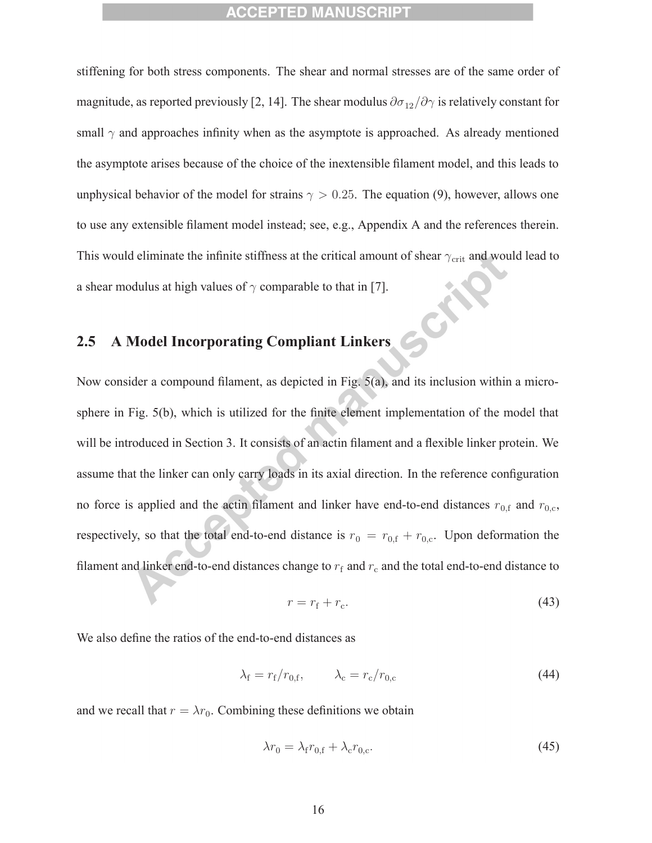stiffening for both stress components. The shear and normal stresses are of the same order of magnitude, as reported previously [2, 14]. The shear modulus  $\partial \sigma_{12}/\partial \gamma$  is relatively constant for small  $\gamma$  and approaches infinity when as the asymptote is approached. As already mentioned the asymptote arises because of the choice of the inextensible filament model, and this leads to unphysical behavior of the model for strains  $\gamma > 0.25$ . The equation (9), however, allows one to use any extensible filament model instead; see, e.g., Appendix A and the references therein. This would eliminate the infinite stiffness at the critical amount of shear  $\gamma_{\text{crit}}$  and would lead to a shear modulus at high values of  $\gamma$  comparable to that in [7].

# **2.5 A Model Incorporating Compliant Linkers**

Now consider a compound filament, as depicted in Fig. 5(a), and its inclusion within a microsphere in Fig. 5(b), which is utilized for the finite element implementation of the model that will be introduced in Section 3. It consists of an actin filament and a flexible linker protein. We assume that the linker can only carry loads in its axial direction. In the reference configuration no force is applied and the actin filament and linker have end-to-end distances  $r_{0,f}$  and  $r_{0,c}$ , respectively, so that the total end-to-end distance is  $r_0 = r_{0,f} + r_{0,c}$ . Upon deformation the filament and linker end-to-end distances change to  $r_f$  and  $r_c$  and the total end-to-end distance to

$$
r = r_{\rm f} + r_{\rm c}.\tag{43}
$$

We also define the ratios of the end-to-end distances as

$$
\lambda_{\rm f} = r_{\rm f}/r_{0,\rm f}, \qquad \lambda_{\rm c} = r_{\rm c}/r_{0,\rm c} \tag{44}
$$

and we recall that  $r = \lambda r_0$ . Combining these definitions we obtain

$$
\lambda r_0 = \lambda_{\rm f} r_{0,\rm f} + \lambda_{\rm c} r_{0,\rm c}.\tag{45}
$$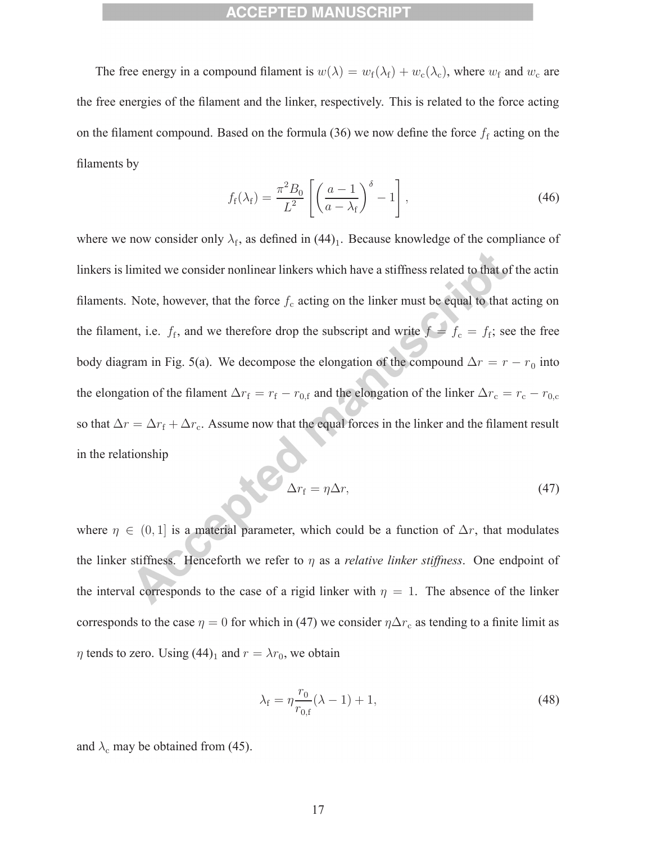The free energy in a compound filament is  $w(\lambda) = w_f(\lambda_f) + w_c(\lambda_c)$ , where  $w_f$  and  $w_c$  are the free energies of the filament and the linker, respectively. This is related to the force acting on the filament compound. Based on the formula (36) we now define the force  $f_f$  acting on the filaments by

$$
f_{\rm f}(\lambda_{\rm f}) = \frac{\pi^2 B_0}{L^2} \left[ \left( \frac{a-1}{a-\lambda_{\rm f}} \right)^{\delta} - 1 \right],\tag{46}
$$

where we now consider only  $\lambda_f$ , as defined in (44)<sub>1</sub>. Because knowledge of the compliance of linkers is limited we consider nonlinear linkers which have a stiffness related to that of the actin filaments. Note, however, that the force  $f_c$  acting on the linker must be equal to that acting on the filament, i.e.  $f_f$ , and we therefore drop the subscript and write  $f = f_c = f_f$ ; see the free body diagram in Fig. 5(a). We decompose the elongation of the compound  $\Delta r = r - r_0$  into the elongation of the filament  $\Delta r_f = r_f - r_{0,f}$  and the elongation of the linker  $\Delta r_c = r_c - r_{0,c}$ so that  $\Delta r = \Delta r_f + \Delta r_c$ . Assume now that the equal forces in the linker and the filament result in the relationship

$$
\Delta r_{\rm f} = \eta \Delta r,\tag{47}
$$

where  $\eta \in (0, 1]$  is a material parameter, which could be a function of  $\Delta r$ , that modulates the linker stiffness. Henceforth we refer to η as a *relative linker stiffness*. One endpoint of the interval corresponds to the case of a rigid linker with  $\eta = 1$ . The absence of the linker corresponds to the case  $\eta = 0$  for which in (47) we consider  $\eta \Delta r_c$  as tending to a finite limit as  $\eta$  tends to zero. Using (44)<sub>1</sub> and  $r = \lambda r_0$ , we obtain

$$
\lambda_{\rm f} = \eta \frac{r_0}{r_{0,\rm f}} (\lambda - 1) + 1,\tag{48}
$$

and  $\lambda_c$  may be obtained from (45).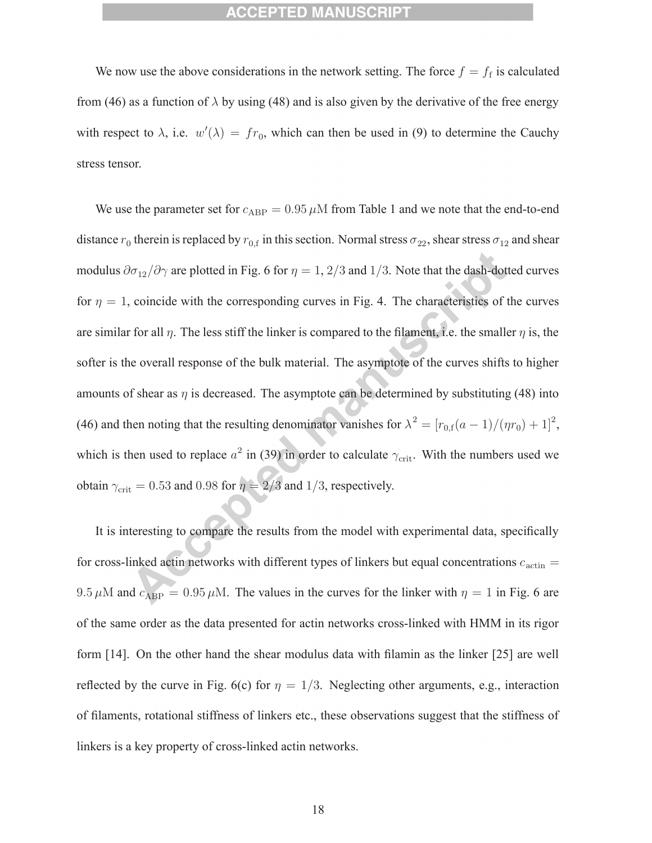We now use the above considerations in the network setting. The force  $f = f_f$  is calculated from (46) as a function of  $\lambda$  by using (48) and is also given by the derivative of the free energy with respect to  $\lambda$ , i.e.  $w'(\lambda) = fr_0$ , which can then be used in (9) to determine the Cauchy stress tensor.

We use the parameter set for  $c_{ABP} = 0.95 \mu M$  from Table 1 and we note that the end-to-end distance  $r_0$  therein is replaced by  $r_{0,f}$  in this section. Normal stress  $\sigma_{22}$ , shear stress  $\sigma_{12}$  and shear modulus  $\partial \sigma_{12}/\partial \gamma$  are plotted in Fig. 6 for  $\eta = 1, 2/3$  and 1/3. Note that the dash-dotted curves for  $\eta = 1$ , coincide with the corresponding curves in Fig. 4. The characteristics of the curves are similar for all  $\eta$ . The less stiff the linker is compared to the filament, i.e. the smaller  $\eta$  is, the softer is the overall response of the bulk material. The asymptote of the curves shifts to higher amounts of shear as  $\eta$  is decreased. The asymptote can be determined by substituting (48) into (46) and then noting that the resulting denominator vanishes for  $\lambda^2 = [r_{0,f}(a-1)/(\eta r_0) + 1]^2$ , which is then used to replace  $a^2$  in (39) in order to calculate  $\gamma_{\text{crit}}$ . With the numbers used we obtain  $\gamma_{\rm crit} = 0.53$  and 0.98 for  $\eta = 2/3$  and 1/3, respectively.

It is interesting to compare the results from the model with experimental data, specifically for cross-linked actin networks with different types of linkers but equal concentrations  $c_{\text{actin}} =$ 9.5  $\mu$ M and  $c_{ABP} = 0.95 \mu$ M. The values in the curves for the linker with  $\eta = 1$  in Fig. 6 are of the same order as the data presented for actin networks cross-linked with HMM in its rigor form [14]. On the other hand the shear modulus data with filamin as the linker [25] are well reflected by the curve in Fig. 6(c) for  $\eta = 1/3$ . Neglecting other arguments, e.g., interaction of filaments, rotational stiffness of linkers etc., these observations suggest that the stiffness of linkers is a key property of cross-linked actin networks.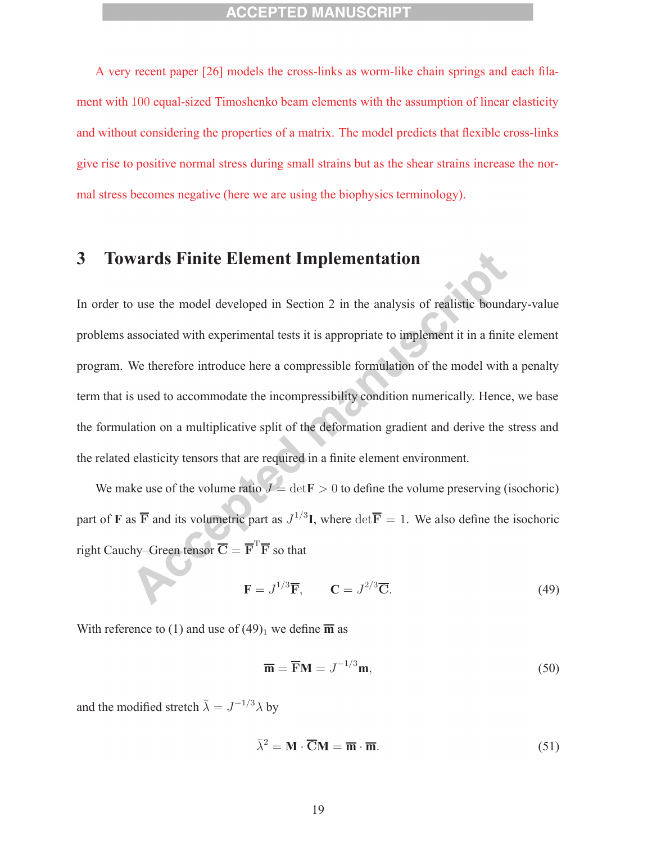A very recent paper [26] models the cross-links as worm-like chain springs and each filament with 100 equal-sized Timoshenko beam elements with the assumption of linear elasticity and without considering the properties of a matrix. The model predicts that flexible cross-links give rise to positive normal stress during small strains but as the shear strains increase the normal stress becomes negative (here we are using the biophysics terminology).

# **3 Towards Finite Element Implementation**

In order to use the model developed in Section 2 in the analysis of realistic boundary-value problems associated with experimental tests it is appropriate to implement it in a finite element program. We therefore introduce here a compressible formulation of the model with a penalty term that is used to accommodate the incompressibility condition numerically. Hence, we base the formulation on a multiplicative split of the deformation gradient and derive the stress and the related elasticity tensors that are required in a finite element environment.

We make use of the volume ratio  $J = det \mathbf{F} > 0$  to define the volume preserving (isochoric) part of **F** as  $\overline{F}$  and its volumetric part as  $J^{1/3}I$ , where  $\det \overline{F} = 1$ . We also define the isochoric right Cauchy–Green tensor  $\overline{\mathbf{C}} = \overline{\mathbf{F}}^T \overline{\mathbf{F}}$  so that

$$
\mathbf{F} = J^{1/3}\overline{\mathbf{F}}, \qquad \mathbf{C} = J^{2/3}\overline{\mathbf{C}}.
$$
 (49)

With reference to (1) and use of  $(49)_1$  we define  $\overline{m}$  as

$$
\overline{\mathbf{m}} = \overline{\mathbf{F}} \mathbf{M} = J^{-1/3} \mathbf{m},\tag{50}
$$

and the modified stretch  $\bar{\lambda} = J^{-1/3} \lambda$  by

$$
\bar{\lambda}^2 = \mathbf{M} \cdot \overline{\mathbf{C}} \mathbf{M} = \overline{\mathbf{m}} \cdot \overline{\mathbf{m}}.\tag{51}
$$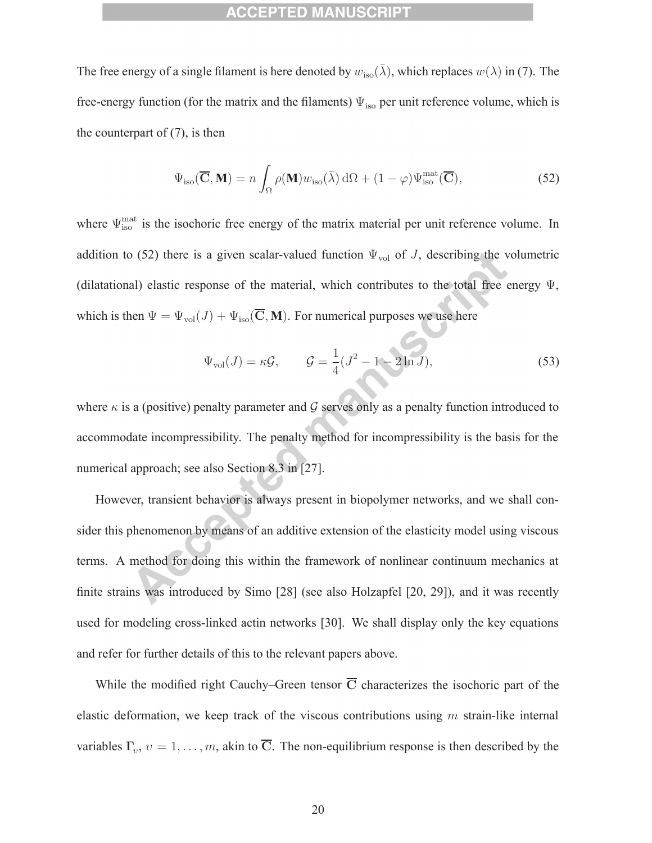The free energy of a single filament is here denoted by  $w_{\text{iso}}(\bar{\lambda})$ , which replaces  $w(\lambda)$  in (7). The free-energy function (for the matrix and the filaments)  $\Psi_{\text{iso}}$  per unit reference volume, which is the counterpart of  $(7)$ , is then

$$
\Psi_{\text{iso}}(\overline{\mathbf{C}}, \mathbf{M}) = n \int_{\Omega} \rho(\mathbf{M}) w_{\text{iso}}(\overline{\lambda}) d\Omega + (1 - \varphi) \Psi_{\text{iso}}^{\text{mat}}(\overline{\mathbf{C}}), \tag{52}
$$

where  $\Psi_{\text{iso}}^{\text{mat}}$  is the isochoric free energy of the matrix material per unit reference volume. In addition to (52) there is a given scalar-valued function  $\Psi_{\text{vol}}$  of J, describing the volumetric (dilatational) elastic response of the material, which contributes to the total free energy  $\Psi$ , which is then  $\Psi = \Psi_{\text{vol}}(J) + \Psi_{\text{iso}}(\overline{\mathbf{C}}, \mathbf{M})$ . For numerical purposes we use here

$$
\Psi_{\text{vol}}(J) = \kappa \mathcal{G}, \qquad \mathcal{G} = \frac{1}{4}(J^2 - 1 - 2\ln J), \tag{53}
$$

where  $\kappa$  is a (positive) penalty parameter and G serves only as a penalty function introduced to accommodate incompressibility. The penalty method for incompressibility is the basis for the numerical approach; see also Section 8.3 in [27].

However, transient behavior is always present in biopolymer networks, and we shall consider this phenomenon by means of an additive extension of the elasticity model using viscous terms. A method for doing this within the framework of nonlinear continuum mechanics at finite strains was introduced by Simo [28] (see also Holzapfel [20, 29]), and it was recently used for modeling cross-linked actin networks [30]. We shall display only the key equations and refer for further details of this to the relevant papers above.

While the modified right Cauchy–Green tensor  $\overline{C}$  characterizes the isochoric part of the elastic deformation, we keep track of the viscous contributions using  $m$  strain-like internal variables  $\Gamma_v$ ,  $v = 1, \ldots, m$ , akin to  $\overline{C}$ . The non-equilibrium response is then described by the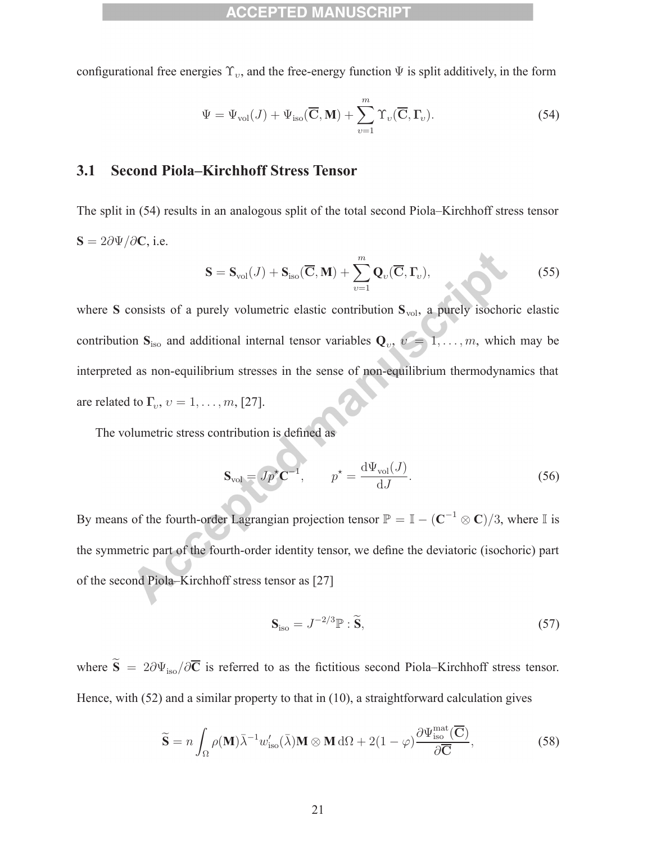configurational free energies  $\Upsilon_v$ , and the free-energy function  $\Psi$  is split additively, in the form

$$
\Psi = \Psi_{\text{vol}}(J) + \Psi_{\text{iso}}(\overline{\mathbf{C}}, \mathbf{M}) + \sum_{v=1}^{m} \Upsilon_{v}(\overline{\mathbf{C}}, \mathbf{\Gamma}_{v}).
$$
\n(54)

### **3.1 Second Piola–Kirchhoff Stress Tensor**

The split in (54) results in an analogous split of the total second Piola–Kirchhoff stress tensor **S** = 2∂Ψ/∂**C**, i.e.

$$
\mathbf{S} = \mathbf{S}_{\text{vol}}(J) + \mathbf{S}_{\text{iso}}(\overline{\mathbf{C}}, \mathbf{M}) + \sum_{v=1}^{m} \mathbf{Q}_{v}(\overline{\mathbf{C}}, \mathbf{\Gamma}_{v}),
$$
(55)

where **S** consists of a purely volumetric elastic contribution  $S_{\text{vol}}$ , a purely isochoric elastic contribution  $S_{iso}$  and additional internal tensor variables  $Q_v$ ,  $v = 1, \ldots, m$ , which may be interpreted as non-equilibrium stresses in the sense of non-equilibrium thermodynamics that are related to  $\Gamma_v$ ,  $v = 1, \ldots, m$ , [27].

The volumetric stress contribution is defined as

$$
\mathbf{S}_{\text{vol}} = Jp^{\star}\mathbf{C}^{-1}, \qquad p^{\star} = \frac{\mathrm{d}\Psi_{\text{vol}}(J)}{\mathrm{d}J}.
$$
 (56)

By means of the fourth-order Lagrangian projection tensor  $\mathbb{P} = \mathbb{I} - (\mathbb{C}^{-1} \otimes \mathbb{C})/3$ , where  $\mathbb{I}$  is the symmetric part of the fourth-order identity tensor, we define the deviatoric (isochoric) part of the second Piola–Kirchhoff stress tensor as [27]

$$
\mathbf{S}_{\text{iso}} = J^{-2/3} \mathbb{P} : \widetilde{\mathbf{S}},\tag{57}
$$

where  $\tilde{S} = 2\partial \Psi_{\text{iso}}/\partial \overline{C}$  is referred to as the fictitious second Piola–Kirchhoff stress tensor. Hence, with (52) and a similar property to that in (10), a straightforward calculation gives

$$
\widetilde{\mathbf{S}} = n \int_{\Omega} \rho(\mathbf{M}) \bar{\lambda}^{-1} w'_{\text{iso}}(\bar{\lambda}) \mathbf{M} \otimes \mathbf{M} \, d\Omega + 2(1 - \varphi) \frac{\partial \Psi_{\text{iso}}^{\text{mat}}(\overline{\mathbf{C}})}{\partial \overline{\mathbf{C}}},\tag{58}
$$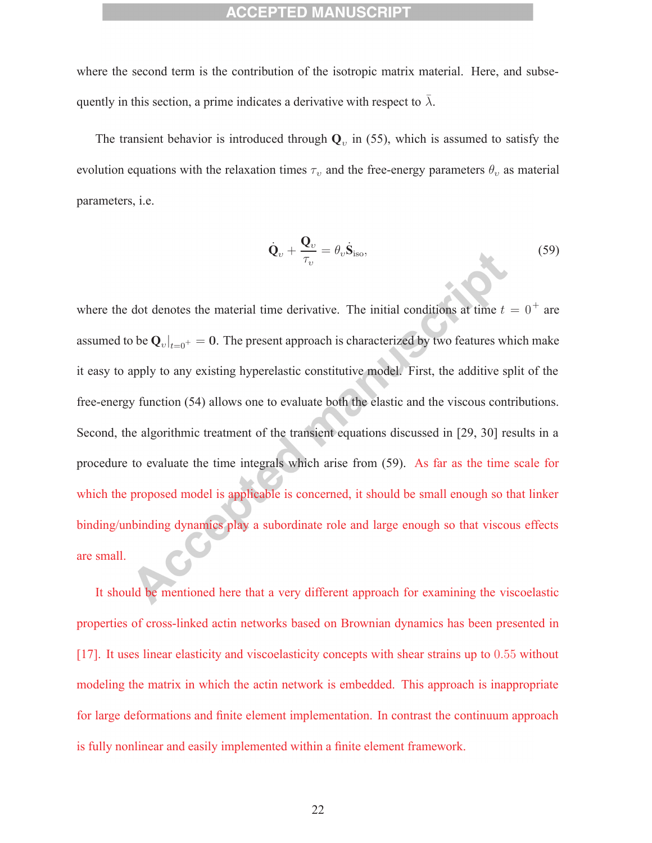where the second term is the contribution of the isotropic matrix material. Here, and subsequently in this section, a prime indicates a derivative with respect to  $\bar{\lambda}$ .

The transient behavior is introduced through  $Q_v$  in (55), which is assumed to satisfy the evolution equations with the relaxation times  $\tau_v$  and the free-energy parameters  $\theta_v$  as material parameters, i.e.

$$
\dot{\mathbf{Q}}_v + \frac{\mathbf{Q}_v}{\tau_v} = \theta_v \dot{\mathbf{S}}_{\text{iso}},\tag{59}
$$

where the dot denotes the material time derivative. The initial conditions at time  $t = 0^+$  are assumed to be  $\mathbf{Q}_{v}|_{t=0^{+}} = 0$ . The present approach is characterized by two features which make it easy to apply to any existing hyperelastic constitutive model. First, the additive split of the free-energy function (54) allows one to evaluate both the elastic and the viscous contributions. Second, the algorithmic treatment of the transient equations discussed in [29, 30] results in a procedure to evaluate the time integrals which arise from (59). As far as the time scale for which the proposed model is applicable is concerned, it should be small enough so that linker binding/unbinding dynamics play a subordinate role and large enough so that viscous effects are small.

It should be mentioned here that a very different approach for examining the viscoelastic properties of cross-linked actin networks based on Brownian dynamics has been presented in [17]. It uses linear elasticity and viscoelasticity concepts with shear strains up to 0.55 without modeling the matrix in which the actin network is embedded. This approach is inappropriate for large deformations and finite element implementation. In contrast the continuum approach is fully nonlinear and easily implemented within a finite element framework.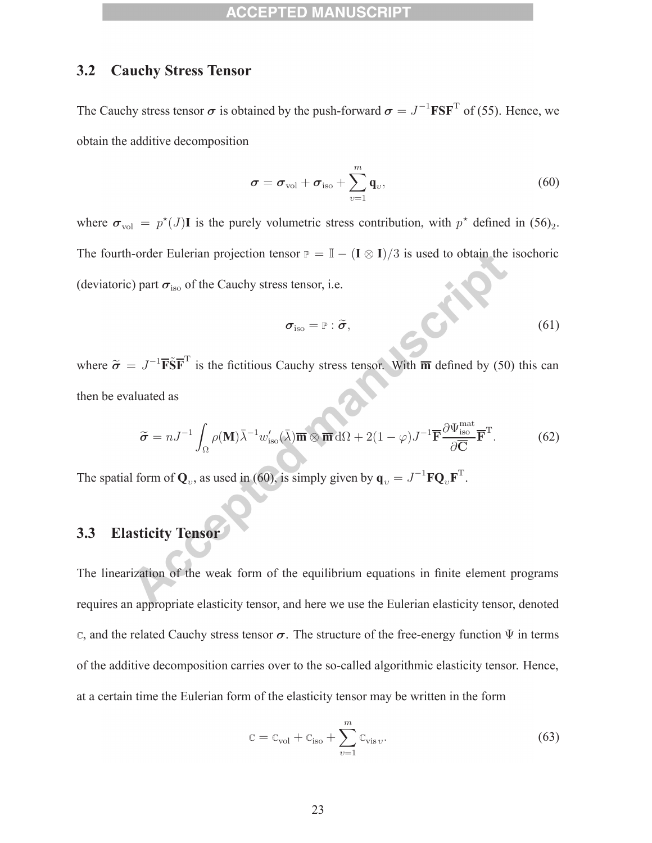### **3.2 Cauchy Stress Tensor**

The Cauchy stress tensor  $\sigma$  is obtained by the push-forward  $\sigma = J^{-1} \text{FSF}^T$  of (55). Hence, we obtain the additive decomposition

$$
\boldsymbol{\sigma} = \boldsymbol{\sigma}_{\text{vol}} + \boldsymbol{\sigma}_{\text{iso}} + \sum_{v=1}^{m} \mathbf{q}_v, \qquad (60)
$$

where  $\sigma_{\text{vol}} = p^*(J)$ **I** is the purely volumetric stress contribution, with  $p^*$  defined in  $(56)_2$ . The fourth-order Eulerian projection tensor  $P = I - (I \otimes I)/3$  is used to obtain the isochoric (deviatoric) part  $\sigma_{\text{iso}}$  of the Cauchy stress tensor, i.e.

$$
\boldsymbol{\sigma}_{\rm iso} = \mathbb{P} : \widetilde{\boldsymbol{\sigma}}, \tag{61}
$$

where  $\tilde{\sigma} = J^{-1} \overline{\textbf{F}} \tilde{\textbf{S}} \overline{\textbf{F}}^T$  is the fictitious Cauchy stress tensor. With  $\overline{\textbf{m}}$  defined by (50) this can then be evaluated as

$$
\widetilde{\sigma} = nJ^{-1} \int_{\Omega} \rho(\mathbf{M}) \overline{\lambda}^{-1} w'_{\text{iso}}(\overline{\lambda}) \overline{\mathbf{m}} \otimes \overline{\mathbf{m}} d\Omega + 2(1 - \varphi) J^{-1} \overline{\mathbf{F}} \frac{\partial \Psi_{\text{iso}}^{\text{mat}}}{\partial \overline{\mathbf{C}}} \overline{\mathbf{F}}^{\text{T}}.
$$
 (62)

The spatial form of  $\mathbf{Q}_v$ , as used in (60), is simply given by  $\mathbf{q}_v = J^{-1} \mathbf{F} \mathbf{Q}_v \mathbf{F}^T$ .

# **3.3 Elasticity Tensor**

The linearization of the weak form of the equilibrium equations in finite element programs requires an appropriate elasticity tensor, and here we use the Eulerian elasticity tensor, denoted <sup>C</sup>, and the related Cauchy stress tensor *σ*. The structure of the free-energy function Ψ in terms of the additive decomposition carries over to the so-called algorithmic elasticity tensor. Hence, at a certain time the Eulerian form of the elasticity tensor may be written in the form

$$
\mathbf{C} = \mathbf{C}_{\text{vol}} + \mathbf{C}_{\text{iso}} + \sum_{v=1}^{m} \mathbf{C}_{\text{vis } v}.
$$
 (63)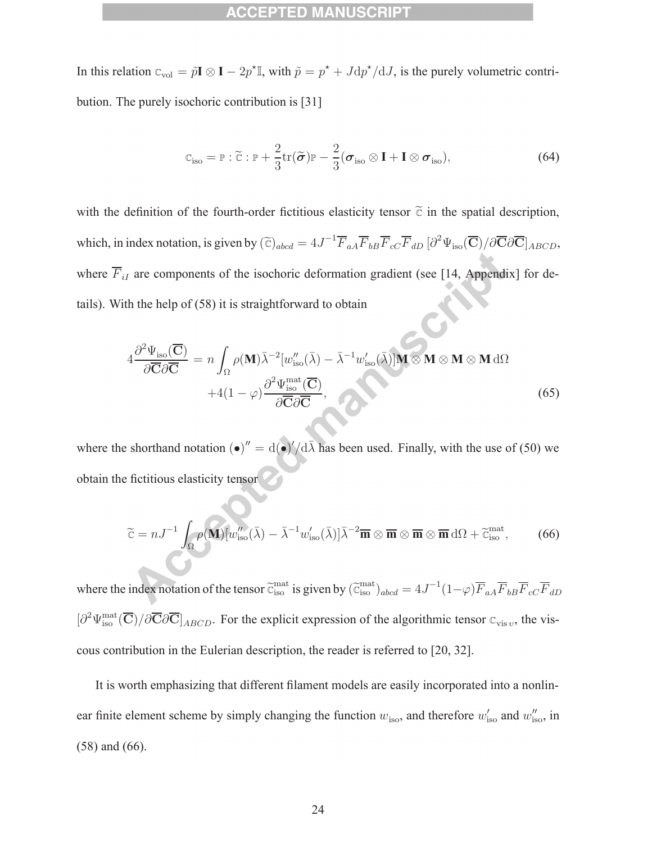In this relation  $C_{\text{vol}} = \tilde{p}\mathbf{I} \otimes \mathbf{I} - 2p^* \mathbb{I}$ , with  $\tilde{p} = p^* + J dp^* / dJ$ , is the purely volumetric contribution. The purely isochoric contribution is [31]

$$
\mathbb{C}_{\text{iso}} = \mathbb{P} : \widetilde{\mathbb{C}} : \mathbb{P} + \frac{2}{3} \text{tr}(\widetilde{\boldsymbol{\sigma}}) \mathbb{P} - \frac{2}{3} (\boldsymbol{\sigma}_{\text{iso}} \otimes \mathbf{I} + \mathbf{I} \otimes \boldsymbol{\sigma}_{\text{iso}}), \tag{64}
$$

with the definition of the fourth-order fictitious elasticity tensor  $\tilde{c}$  in the spatial description, which, in index notation, is given by  $(\tilde{c})_{abcd} = 4J^{-1}\overline{F}_{aA}\overline{F}_{bB}\overline{F}_{cC}\overline{F}_{dD} [\partial^2 \Psi_{iso}(\overline{C})/\partial \overline{C}\partial \overline{C}]_{ABCD}$ , where  $\overline{F}_{iI}$  are components of the isochoric deformation gradient (see [14, Appendix] for details). With the help of (58) it is straightforward to obtain

$$
4 \frac{\partial^2 \Psi_{\text{iso}}(\overline{\mathbf{C}})}{\partial \overline{\mathbf{C}} \partial \overline{\mathbf{C}}} = n \int_{\Omega} \rho(\mathbf{M}) \overline{\lambda}^{-2} [w_{\text{iso}}''(\overline{\lambda}) - \overline{\lambda}^{-1} w_{\text{iso}}'(\overline{\lambda})] \mathbf{M} \otimes \mathbf{M} \otimes \mathbf{M} \otimes \mathbf{M} \, d\Omega
$$
  
+4(1 - \varphi) \frac{\partial^2 \Psi\_{\text{iso}}^{\text{mat}}(\overline{\mathbf{C}})}{\partial \overline{\mathbf{C}} \partial \overline{\mathbf{C}}}, \qquad (65)

where the shorthand notation  $(\bullet)'' = d(\bullet)' / d\overline{\lambda}$  has been used. Finally, with the use of (50) we obtain the fictitious elasticity tensor

$$
\widetilde{\mathbf{c}} = nJ^{-1} \int_{\Omega} \rho(\mathbf{M}) [w''_{\text{iso}}(\bar{\lambda}) - \bar{\lambda}^{-1} w'_{\text{iso}}(\bar{\lambda})] \bar{\lambda}^{-2} \overline{\mathbf{m}} \otimes \overline{\mathbf{m}} \otimes \overline{\mathbf{m}} \otimes \overline{\mathbf{m}} \, d\Omega + \widetilde{\mathbf{c}}^{\text{mat}}_{\text{iso}}, \tag{66}
$$

where the index notation of the tensor  $\tilde{c}_{\rm iso}^{\rm mat}$  is given by  $(\tilde{c}_{\rm iso}^{\rm mat})_{abcd} = 4J^{-1}(1-\varphi)\overline{F}_{aA}\overline{F}_{bB}\overline{F}_{cC}\overline{F}_{dD}$  $\left[\partial^2 \Psi_{\text{iso}}^{\text{mat}}(\overline{\mathbf{C}})/\partial \overline{\mathbf{C}}\partial \overline{\mathbf{C}}\right]_{ABCD}$ . For the explicit expression of the algorithmic tensor  $\mathbf{C}_{\text{vis } v}$ , the viscous contribution in the Eulerian description, the reader is referred to [20, 32].

It is worth emphasizing that different filament models are easily incorporated into a nonlinear finite element scheme by simply changing the function  $w_{\text{iso}}$ , and therefore  $w'_{\text{iso}}$  and  $w''_{\text{iso}}$ , in (58) and (66).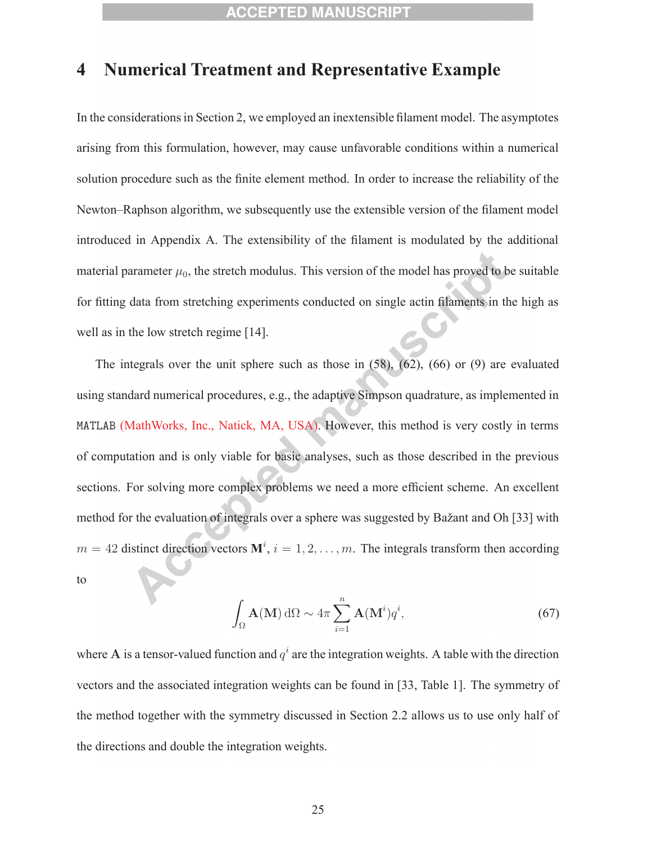# **4 Numerical Treatment and Representative Example**

In the considerations in Section 2, we employed an inextensible filament model. The asymptotes arising from this formulation, however, may cause unfavorable conditions within a numerical solution procedure such as the finite element method. In order to increase the reliability of the Newton–Raphson algorithm, we subsequently use the extensible version of the filament model introduced in Appendix A. The extensibility of the filament is modulated by the additional material parameter  $\mu_0$ , the stretch modulus. This version of the model has proved to be suitable for fitting data from stretching experiments conducted on single actin filaments in the high as well as in the low stretch regime [14].

The integrals over the unit sphere such as those in  $(58)$ ,  $(62)$ ,  $(66)$  or  $(9)$  are evaluated using standard numerical procedures, e.g., the adaptive Simpson quadrature, as implemented in MATLAB (MathWorks, Inc., Natick, MA, USA). However, this method is very costly in terms of computation and is only viable for basic analyses, such as those described in the previous sections. For solving more complex problems we need a more efficient scheme. An excellent method for the evaluation of integrals over a sphere was suggested by Bažant and Oh [33] with  $m = 42$  distinct direction vectors  $\mathbf{M}^i$ ,  $i = 1, 2, \dots, m$ . The integrals transform then according to

$$
\int_{\Omega} \mathbf{A}(\mathbf{M}) d\Omega \sim 4\pi \sum_{i=1}^{n} \mathbf{A}(\mathbf{M}^{i}) q^{i},
$$
\n(67)

where **A** is a tensor-valued function and  $q^i$  are the integration weights. A table with the direction vectors and the associated integration weights can be found in [33, Table 1]. The symmetry of the method together with the symmetry discussed in Section 2.2 allows us to use only half of the directions and double the integration weights.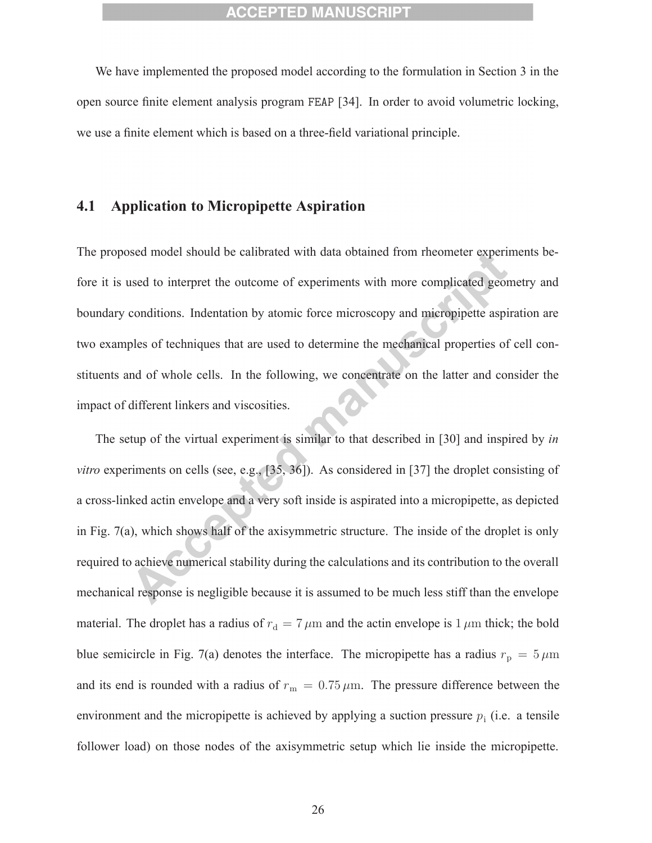We have implemented the proposed model according to the formulation in Section 3 in the open source finite element analysis program FEAP [34]. In order to avoid volumetric locking, we use a finite element which is based on a three-field variational principle.

## **4.1 Application to Micropipette Aspiration**

The proposed model should be calibrated with data obtained from rheometer experiments before it is used to interpret the outcome of experiments with more complicated geometry and boundary conditions. Indentation by atomic force microscopy and micropipette aspiration are two examples of techniques that are used to determine the mechanical properties of cell constituents and of whole cells. In the following, we concentrate on the latter and consider the impact of different linkers and viscosities.

The setup of the virtual experiment is similar to that described in [30] and inspired by *in vitro* experiments on cells (see, e.g., [35, 36]). As considered in [37] the droplet consisting of a cross-linked actin envelope and a very soft inside is aspirated into a micropipette, as depicted in Fig. 7(a), which shows half of the axisymmetric structure. The inside of the droplet is only required to achieve numerical stability during the calculations and its contribution to the overall mechanical response is negligible because it is assumed to be much less stiff than the envelope material. The droplet has a radius of  $r_d = 7 \,\mu \text{m}$  and the actin envelope is 1  $\mu \text{m}$  thick; the bold blue semicircle in Fig. 7(a) denotes the interface. The micropipette has a radius  $r_p = 5 \,\mu\text{m}$ and its end is rounded with a radius of  $r_{\rm m} = 0.75 \,\mu{\rm m}$ . The pressure difference between the environment and the micropipette is achieved by applying a suction pressure  $p_i$  (i.e. a tensile follower load) on those nodes of the axisymmetric setup which lie inside the micropipette.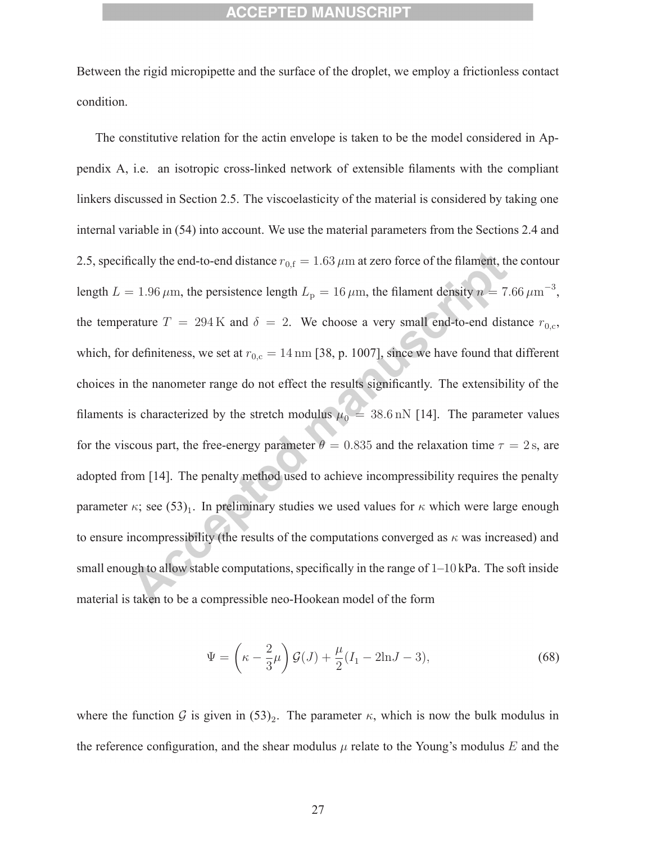Between the rigid micropipette and the surface of the droplet, we employ a frictionless contact condition.

The constitutive relation for the actin envelope is taken to be the model considered in Appendix A, i.e. an isotropic cross-linked network of extensible filaments with the compliant linkers discussed in Section 2.5. The viscoelasticity of the material is considered by taking one internal variable in (54) into account. We use the material parameters from the Sections 2.4 and 2.5, specifically the end-to-end distance  $r_{0,f} = 1.63 \mu m$  at zero force of the filament, the contour length  $L = 1.96 \,\mu \text{m}$ , the persistence length  $L_p = 16 \,\mu \text{m}$ , the filament density  $n = 7.66 \,\mu \text{m}^{-3}$ , the temperature  $T = 294 \text{ K}$  and  $\delta = 2$ . We choose a very small end-to-end distance  $r_{0,c}$ , which, for definiteness, we set at  $r_{0,c} = 14 \text{ nm}$  [38, p. 1007], since we have found that different choices in the nanometer range do not effect the results significantly. The extensibility of the filaments is characterized by the stretch modulus  $\mu_0 = 38.6$  nN [14]. The parameter values for the viscous part, the free-energy parameter  $\theta = 0.835$  and the relaxation time  $\tau = 2$  s, are adopted from [14]. The penalty method used to achieve incompressibility requires the penalty parameter  $\kappa$ ; see (53)<sub>1</sub>. In preliminary studies we used values for  $\kappa$  which were large enough to ensure incompressibility (the results of the computations converged as  $\kappa$  was increased) and small enough to allow stable computations, specifically in the range of  $1-10$  kPa. The soft inside material is taken to be a compressible neo-Hookean model of the form

$$
\Psi = \left(\kappa - \frac{2}{3}\mu\right)\mathcal{G}(J) + \frac{\mu}{2}(I_1 - 2\ln J - 3),\tag{68}
$$

where the function G is given in  $(53)_2$ . The parameter  $\kappa$ , which is now the bulk modulus in the reference configuration, and the shear modulus  $\mu$  relate to the Young's modulus E and the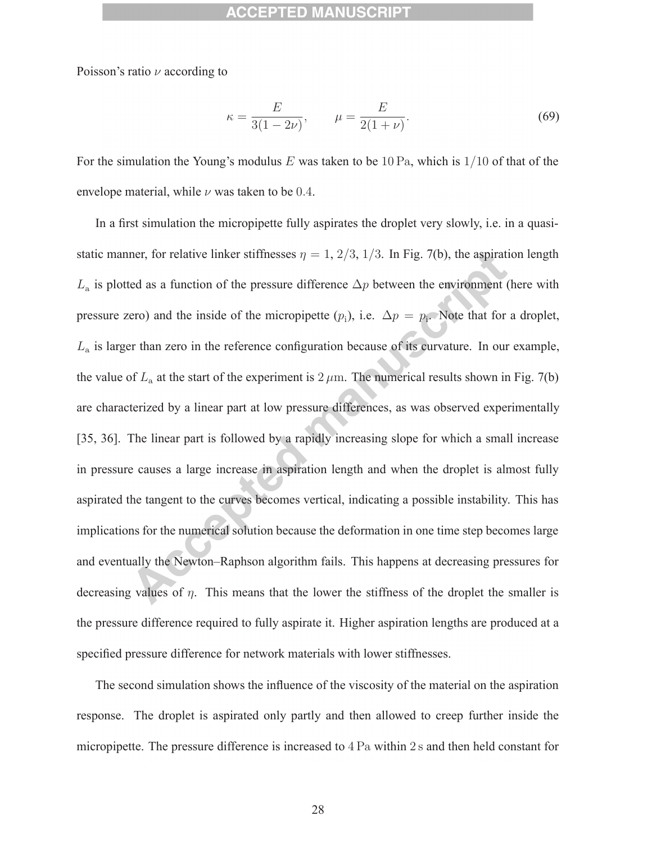Poisson's ratio  $\nu$  according to

$$
\kappa = \frac{E}{3(1 - 2\nu)}, \qquad \mu = \frac{E}{2(1 + \nu)}.
$$
\n(69)

For the simulation the Young's modulus E was taken to be 10 Pa, which is  $1/10$  of that of the envelope material, while  $\nu$  was taken to be 0.4.

In a first simulation the micropipette fully aspirates the droplet very slowly, i.e. in a quasistatic manner, for relative linker stiffnesses  $\eta = 1, 2/3, 1/3$ . In Fig. 7(b), the aspiration length  $L_a$  is plotted as a function of the pressure difference  $\Delta p$  between the environment (here with pressure zero) and the inside of the micropipette  $(p_i)$ , i.e.  $\Delta p = p_i$ . Note that for a droplet,  $L<sub>a</sub>$  is larger than zero in the reference configuration because of its curvature. In our example, the value of  $L_a$  at the start of the experiment is  $2 \mu$ m. The numerical results shown in Fig. 7(b) are characterized by a linear part at low pressure differences, as was observed experimentally [35, 36]. The linear part is followed by a rapidly increasing slope for which a small increase in pressure causes a large increase in aspiration length and when the droplet is almost fully aspirated the tangent to the curves becomes vertical, indicating a possible instability. This has implications for the numerical solution because the deformation in one time step becomes large and eventually the Newton–Raphson algorithm fails. This happens at decreasing pressures for decreasing values of  $\eta$ . This means that the lower the stiffness of the droplet the smaller is the pressure difference required to fully aspirate it. Higher aspiration lengths are produced at a specified pressure difference for network materials with lower stiffnesses.

The second simulation shows the influence of the viscosity of the material on the aspiration response. The droplet is aspirated only partly and then allowed to creep further inside the micropipette. The pressure difference is increased to 4 Pa within 2 s and then held constant for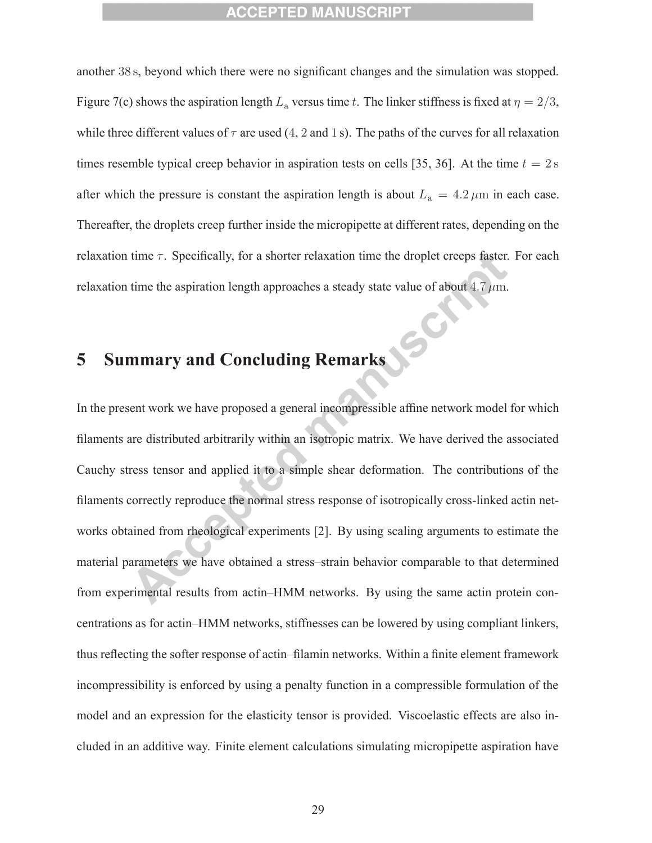another 38 s, beyond which there were no significant changes and the simulation was stopped. Figure 7(c) shows the aspiration length  $L_a$  versus time t. The linker stiffness is fixed at  $\eta = 2/3$ , while three different values of  $\tau$  are used (4, 2 and 1 s). The paths of the curves for all relaxation times resemble typical creep behavior in aspiration tests on cells [35, 36]. At the time  $t = 2$  s after which the pressure is constant the aspiration length is about  $L_a = 4.2 \,\mu \text{m}$  in each case. Thereafter, the droplets creep further inside the micropipette at different rates, depending on the relaxation time  $\tau$ . Specifically, for a shorter relaxation time the droplet creeps faster. For each relaxation time the aspiration length approaches a steady state value of about 4.7  $\mu$ m.

# **5 Summary and Concluding Remarks**

In the present work we have proposed a general incompressible affine network model for which filaments are distributed arbitrarily within an isotropic matrix. We have derived the associated Cauchy stress tensor and applied it to a simple shear deformation. The contributions of the filaments correctly reproduce the normal stress response of isotropically cross-linked actin networks obtained from rheological experiments [2]. By using scaling arguments to estimate the material parameters we have obtained a stress–strain behavior comparable to that determined from experimental results from actin–HMM networks. By using the same actin protein concentrations as for actin–HMM networks, stiffnesses can be lowered by using compliant linkers, thus reflecting the softer response of actin–filamin networks. Within a finite element framework incompressibility is enforced by using a penalty function in a compressible formulation of the model and an expression for the elasticity tensor is provided. Viscoelastic effects are also included in an additive way. Finite element calculations simulating micropipette aspiration have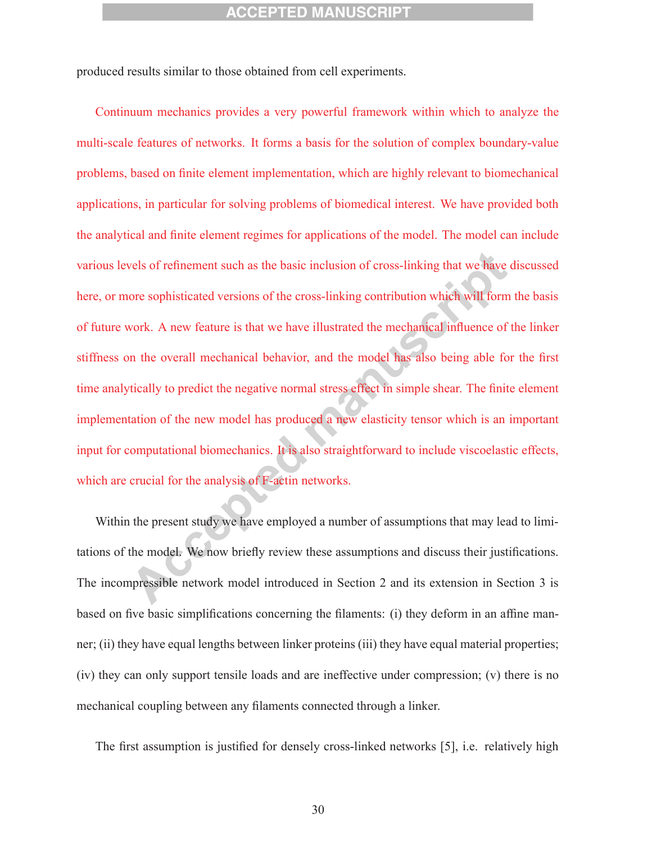produced results similar to those obtained from cell experiments.

Continuum mechanics provides a very powerful framework within which to analyze the multi-scale features of networks. It forms a basis for the solution of complex boundary-value problems, based on finite element implementation, which are highly relevant to biomechanical applications, in particular for solving problems of biomedical interest. We have provided both the analytical and finite element regimes for applications of the model. The model can include various levels of refinement such as the basic inclusion of cross-linking that we have discussed here, or more sophisticated versions of the cross-linking contribution which will form the basis of future work. A new feature is that we have illustrated the mechanical influence of the linker stiffness on the overall mechanical behavior, and the model has also being able for the first time analytically to predict the negative normal stress effect in simple shear. The finite element implementation of the new model has produced a new elasticity tensor which is an important input for computational biomechanics. It is also straightforward to include viscoelastic effects, which are crucial for the analysis of F-actin networks.

Within the present study we have employed a number of assumptions that may lead to limitations of the model. We now briefly review these assumptions and discuss their justifications. The incompressible network model introduced in Section 2 and its extension in Section 3 is based on five basic simplifications concerning the filaments: (i) they deform in an affine manner; (ii) they have equal lengths between linker proteins (iii) they have equal material properties; (iv) they can only support tensile loads and are ineffective under compression; (v) there is no mechanical coupling between any filaments connected through a linker.

The first assumption is justified for densely cross-linked networks [5], i.e. relatively high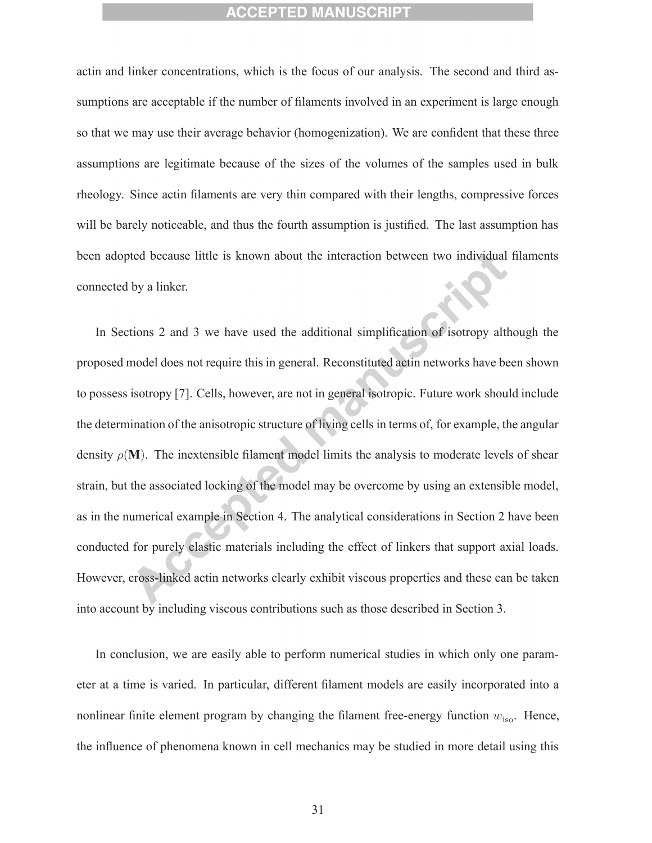actin and linker concentrations, which is the focus of our analysis. The second and third assumptions are acceptable if the number of filaments involved in an experiment is large enough so that we may use their average behavior (homogenization). We are confident that these three assumptions are legitimate because of the sizes of the volumes of the samples used in bulk rheology. Since actin filaments are very thin compared with their lengths, compressive forces will be barely noticeable, and thus the fourth assumption is justified. The last assumption has been adopted because little is known about the interaction between two individual filaments connected by a linker.

In Sections 2 and 3 we have used the additional simplification of isotropy although the proposed model does not require this in general. Reconstituted actin networks have been shown to possess isotropy [7]. Cells, however, are not in general isotropic. Future work should include the determination of the anisotropic structure of living cells in terms of, for example, the angular density  $\rho(\mathbf{M})$ . The inextensible filament model limits the analysis to moderate levels of shear strain, but the associated locking of the model may be overcome by using an extensible model, as in the numerical example in Section 4. The analytical considerations in Section 2 have been conducted for purely elastic materials including the effect of linkers that support axial loads. However, cross-linked actin networks clearly exhibit viscous properties and these can be taken into account by including viscous contributions such as those described in Section 3.

In conclusion, we are easily able to perform numerical studies in which only one parameter at a time is varied. In particular, different filament models are easily incorporated into a nonlinear finite element program by changing the filament free-energy function  $w_{\text{iso}}$ . Hence, the influence of phenomena known in cell mechanics may be studied in more detail using this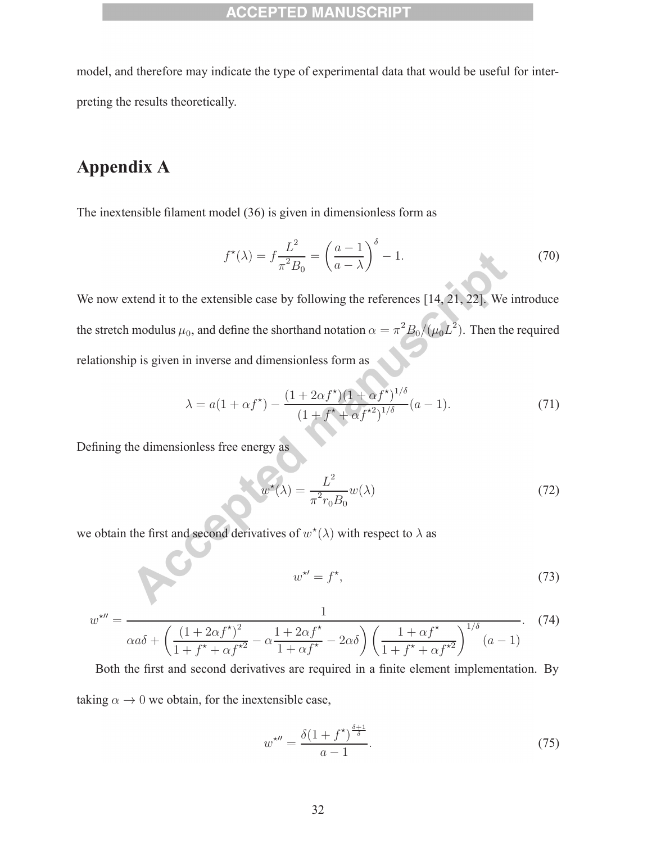model, and therefore may indicate the type of experimental data that would be useful for interpreting the results theoretically.

# **Appendix A**

The inextensible filament model (36) is given in dimensionless form as

$$
f^{\star}(\lambda) = f \frac{L^2}{\pi^2 B_0} = \left(\frac{a-1}{a-\lambda}\right)^{\delta} - 1.
$$
 (70)

We now extend it to the extensible case by following the references [14, 21, 22]. We introduce the stretch modulus  $\mu_0$ , and define the shorthand notation  $\alpha = \pi^2 B_0/(\mu_0 L^2)$ . Then the required relationship is given in inverse and dimensionless form as

$$
\lambda = a(1 + \alpha f^*) - \frac{(1 + 2\alpha f^*) (1 + \alpha f^*)^{1/\delta}}{(1 + f^* + \alpha f^{*2})^{1/\delta}} (a - 1).
$$
\n(71)

Defining the dimensionless free energy as

$$
w^{\star}(\lambda) = \frac{L^2}{\pi^2 r_0 B_0} w(\lambda)
$$
\n(72)

we obtain the first and second derivatives of  $w^*(\lambda)$  with respect to  $\lambda$  as

$$
w^{\star\prime} = f^{\star},\tag{73}
$$

$$
w^{\star \prime \prime} = \frac{1}{\alpha a \delta + \left(\frac{(1 + 2\alpha f^{\star})^2}{1 + f^{\star} + \alpha f^{\star 2}} - \alpha \frac{1 + 2\alpha f^{\star}}{1 + \alpha f^{\star}} - 2\alpha \delta\right) \left(\frac{1 + \alpha f^{\star}}{1 + f^{\star} + \alpha f^{\star 2}}\right)^{1/\delta} (a - 1)}.
$$
(74)

Both the first and second derivatives are required in a finite element implementation. By taking  $\alpha \to 0$  we obtain, for the inextensible case,

$$
w^{\star \prime \prime} = \frac{\delta (1 + f^{\star})^{\frac{\delta + 1}{\delta}}}{a - 1}.
$$
\n
$$
(75)
$$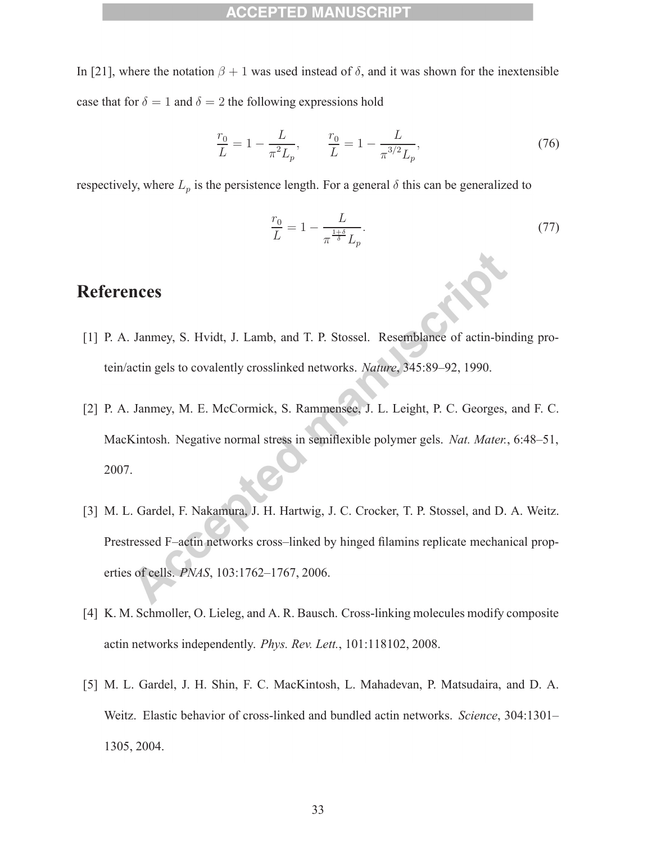In [21], where the notation  $\beta + 1$  was used instead of  $\delta$ , and it was shown for the inextensible case that for  $\delta = 1$  and  $\delta = 2$  the following expressions hold

$$
\frac{r_0}{L} = 1 - \frac{L}{\pi^2 L_p}, \qquad \frac{r_0}{L} = 1 - \frac{L}{\pi^{3/2} L_p},\tag{76}
$$

respectively, where  $L_p$  is the persistence length. For a general  $\delta$  this can be generalized to

$$
\frac{r_0}{L} = 1 - \frac{L}{\pi^{\frac{1+\delta}{\delta}} L_p}.\tag{77}
$$

# **References**

- [1] P. A. Janmey, S. Hvidt, J. Lamb, and T. P. Stossel. Resemblance of actin-binding protein/actin gels to covalently crosslinked networks. *Nature*, 345:89–92, 1990.
- [2] P. A. Janmey, M. E. McCormick, S. Rammensee, J. L. Leight, P. C. Georges, and F. C. MacKintosh. Negative normal stress in semiflexible polymer gels. *Nat. Mater.*, 6:48–51, 2007.
- [3] M. L. Gardel, F. Nakamura, J. H. Hartwig, J. C. Crocker, T. P. Stossel, and D. A. Weitz. Prestressed F–actin networks cross–linked by hinged filamins replicate mechanical properties of cells. *PNAS*, 103:1762–1767, 2006.
- [4] K. M. Schmoller, O. Lieleg, and A. R. Bausch. Cross-linking molecules modify composite actin networks independently. *Phys. Rev. Lett.*, 101:118102, 2008.
- [5] M. L. Gardel, J. H. Shin, F. C. MacKintosh, L. Mahadevan, P. Matsudaira, and D. A. Weitz. Elastic behavior of cross-linked and bundled actin networks. *Science*, 304:1301– 1305, 2004.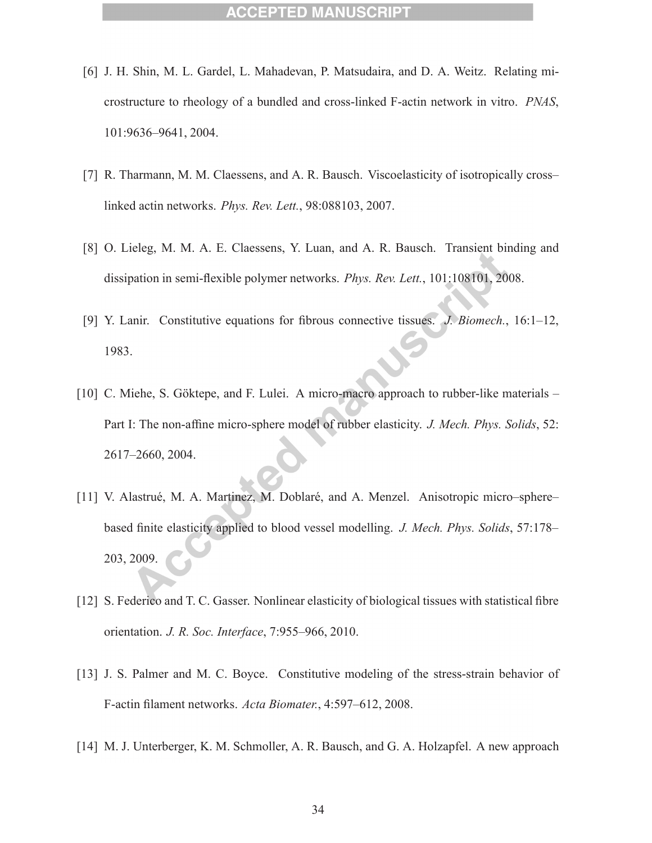- [6] J. H. Shin, M. L. Gardel, L. Mahadevan, P. Matsudaira, and D. A. Weitz. Relating microstructure to rheology of a bundled and cross-linked F-actin network in vitro. *PNAS*, 101:9636–9641, 2004.
- [7] R. Tharmann, M. M. Claessens, and A. R. Bausch. Viscoelasticity of isotropically cross– linked actin networks. *Phys. Rev. Lett.*, 98:088103, 2007.
- [8] O. Lieleg, M. M. A. E. Claessens, Y. Luan, and A. R. Bausch. Transient binding and dissipation in semi-flexible polymer networks. *Phys. Rev. Lett.*, 101:108101, 2008.
- [9] Y. Lanir. Constitutive equations for fibrous connective tissues. *J. Biomech.*, 16:1–12, 1983.
- [10] C. Miehe, S. Göktepe, and F. Lulei. A micro-macro approach to rubber-like materials Part I: The non-affine micro-sphere model of rubber elasticity. *J. Mech. Phys. Solids*, 52: 2617–2660, 2004.
- [11] V. Alastrué, M. A. Martinez, M. Doblaré, and A. Menzel. Anisotropic micro–sphere– based finite elasticity applied to blood vessel modelling. *J. Mech. Phys. Solids*, 57:178– 203, 2009.
- [12] S. Federico and T. C. Gasser. Nonlinear elasticity of biological tissues with statistical fibre orientation. *J. R. Soc. Interface*, 7:955–966, 2010.
- [13] J. S. Palmer and M. C. Boyce. Constitutive modeling of the stress-strain behavior of F-actin filament networks. *Acta Biomater.*, 4:597–612, 2008.
- [14] M. J. Unterberger, K. M. Schmoller, A. R. Bausch, and G. A. Holzapfel. A new approach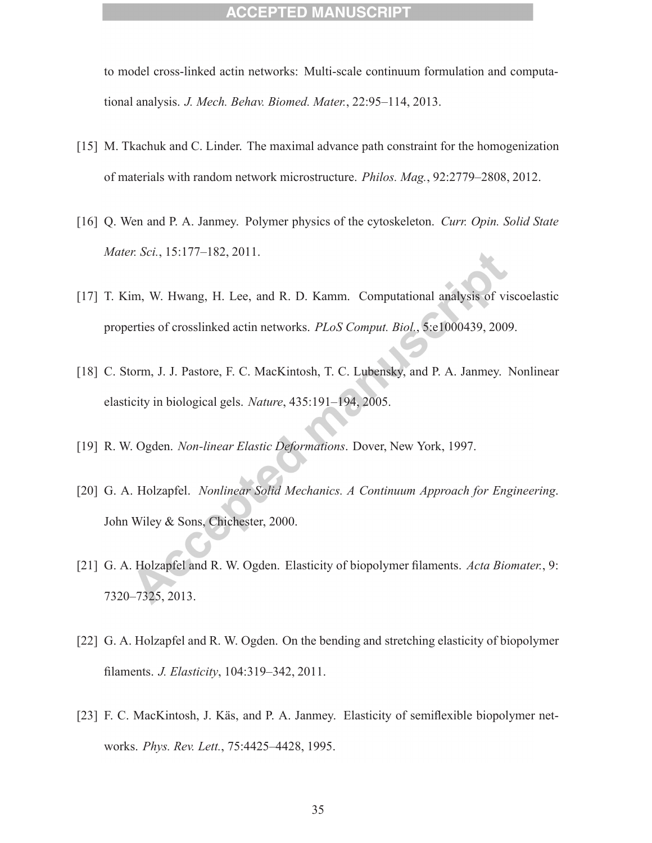to model cross-linked actin networks: Multi-scale continuum formulation and computational analysis. *J. Mech. Behav. Biomed. Mater.*, 22:95–114, 2013.

- [15] M. Tkachuk and C. Linder. The maximal advance path constraint for the homogenization of materials with random network microstructure. *Philos. Mag.*, 92:2779–2808, 2012.
- [16] Q. Wen and P. A. Janmey. Polymer physics of the cytoskeleton. *Curr. Opin. Solid State Mater. Sci.*, 15:177–182, 2011.
- [17] T. Kim, W. Hwang, H. Lee, and R. D. Kamm. Computational analysis of viscoelastic properties of crosslinked actin networks. *PLoS Comput. Biol.*, 5:e1000439, 2009.
- [18] C. Storm, J. J. Pastore, F. C. MacKintosh, T. C. Lubensky, and P. A. Janmey. Nonlinear elasticity in biological gels. *Nature*, 435:191–194, 2005.
- [19] R. W. Ogden. *Non-linear Elastic Deformations*. Dover, New York, 1997.
- [20] G. A. Holzapfel. *Nonlinear Solid Mechanics. A Continuum Approach for Engineering*. John Wiley & Sons, Chichester, 2000.
- [21] G. A. Holzapfel and R. W. Ogden. Elasticity of biopolymer filaments. *Acta Biomater.*, 9: 7320–7325, 2013.
- [22] G. A. Holzapfel and R. W. Ogden. On the bending and stretching elasticity of biopolymer filaments. *J. Elasticity*, 104:319–342, 2011.
- [23] F. C. MacKintosh, J. Käs, and P. A. Janmey. Elasticity of semiflexible biopolymer networks. *Phys. Rev. Lett.*, 75:4425–4428, 1995.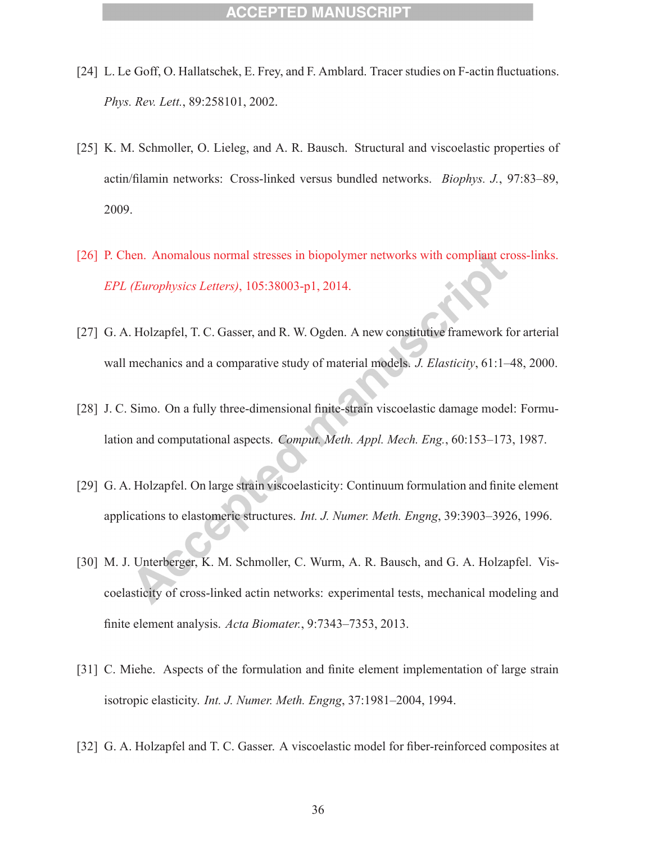- [24] L. Le Goff, O. Hallatschek, E. Frey, and F. Amblard. Tracer studies on F-actin fluctuations. *Phys. Rev. Lett.*, 89:258101, 2002.
- [25] K. M. Schmoller, O. Lieleg, and A. R. Bausch. Structural and viscoelastic properties of actin/filamin networks: Cross-linked versus bundled networks. *Biophys. J.*, 97:83–89, 2009.
- [26] P. Chen. Anomalous normal stresses in biopolymer networks with compliant cross-links. *EPL (Europhysics Letters)*, 105:38003-p1, 2014.
- [27] G. A. Holzapfel, T. C. Gasser, and R. W. Ogden. A new constitutive framework for arterial wall mechanics and a comparative study of material models. *J. Elasticity*, 61:1–48, 2000.
- [28] J. C. Simo. On a fully three-dimensional finite-strain viscoelastic damage model: Formulation and computational aspects. *Comput. Meth. Appl. Mech. Eng.*, 60:153–173, 1987.
- [29] G. A. Holzapfel. On large strain viscoelasticity: Continuum formulation and finite element applications to elastomeric structures. *Int. J. Numer. Meth. Engng*, 39:3903–3926, 1996.
- [30] M. J. Unterberger, K. M. Schmoller, C. Wurm, A. R. Bausch, and G. A. Holzapfel. Viscoelasticity of cross-linked actin networks: experimental tests, mechanical modeling and finite element analysis. *Acta Biomater.*, 9:7343–7353, 2013.
- [31] C. Miehe. Aspects of the formulation and finite element implementation of large strain isotropic elasticity. *Int. J. Numer. Meth. Engng*, 37:1981–2004, 1994.
- [32] G. A. Holzapfel and T. C. Gasser. A viscoelastic model for fiber-reinforced composites at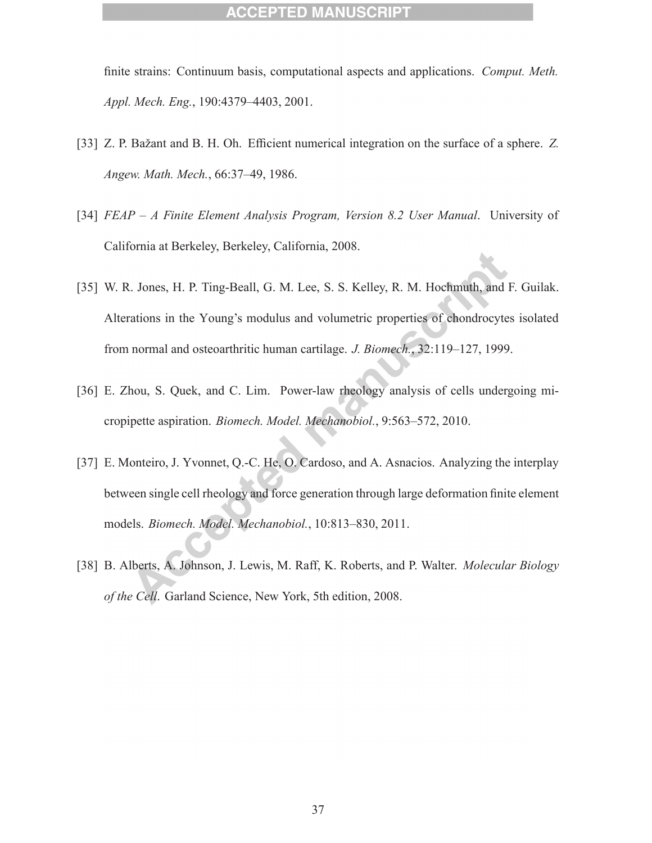finite strains: Continuum basis, computational aspects and applications. *Comput. Meth. Appl. Mech. Eng.*, 190:4379–4403, 2001.

- [33] Z. P. Bažant and B. H. Oh. Efficient numerical integration on the surface of a sphere. Z. *Angew. Math. Mech.*, 66:37–49, 1986.
- [34] *FEAP A Finite Element Analysis Program, Version 8.2 User Manual*. University of California at Berkeley, Berkeley, California, 2008.
- [35] W. R. Jones, H. P. Ting-Beall, G. M. Lee, S. S. Kelley, R. M. Hochmuth, and F. Guilak. Alterations in the Young's modulus and volumetric properties of chondrocytes isolated from normal and osteoarthritic human cartilage. *J. Biomech.*, 32:119–127, 1999.
- [36] E. Zhou, S. Quek, and C. Lim. Power-law rheology analysis of cells undergoing micropipette aspiration. *Biomech. Model. Mechanobiol.*, 9:563–572, 2010.
- [37] E. Monteiro, J. Yvonnet, Q.-C. He, O. Cardoso, and A. Asnacios. Analyzing the interplay between single cell rheology and force generation through large deformation finite element models. *Biomech. Model. Mechanobiol.*, 10:813–830, 2011.
- [38] B. Alberts, A. Johnson, J. Lewis, M. Raff, K. Roberts, and P. Walter. *Molecular Biology of the Cell*. Garland Science, New York, 5th edition, 2008.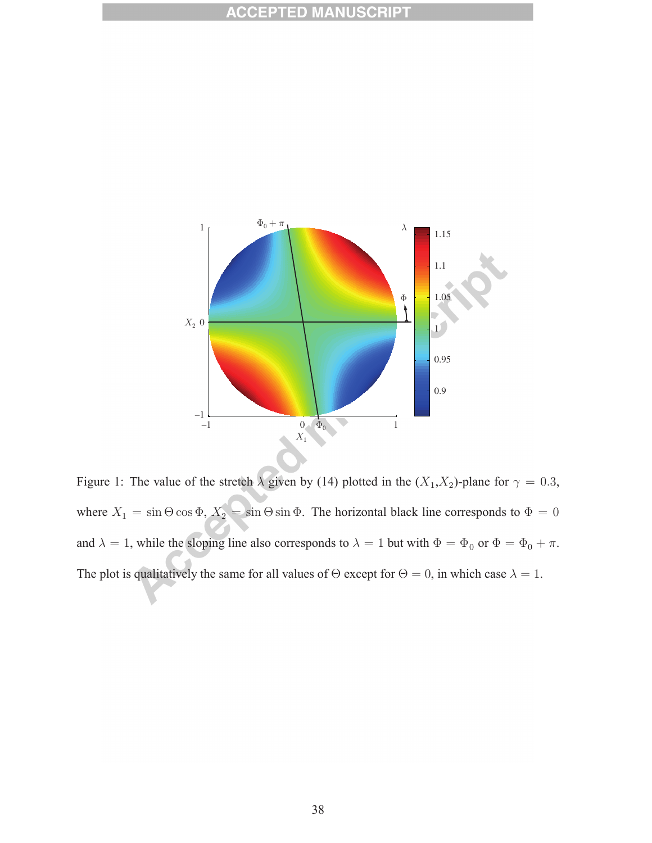

Figure 1: The value of the stretch  $\lambda$  given by (14) plotted in the  $(X_1, X_2)$ -plane for  $\gamma = 0.3$ , where  $X_1 = \sin \Theta \cos \Phi$ ,  $X_2 = \sin \Theta \sin \Phi$ . The horizontal black line corresponds to  $\Phi = 0$ and  $\lambda = 1$ , while the sloping line also corresponds to  $\lambda = 1$  but with  $\Phi = \Phi_0$  or  $\Phi = \Phi_0 + \pi$ . The plot is qualitatively the same for all values of  $\Theta$  except for  $\Theta = 0$ , in which case  $\lambda = 1$ .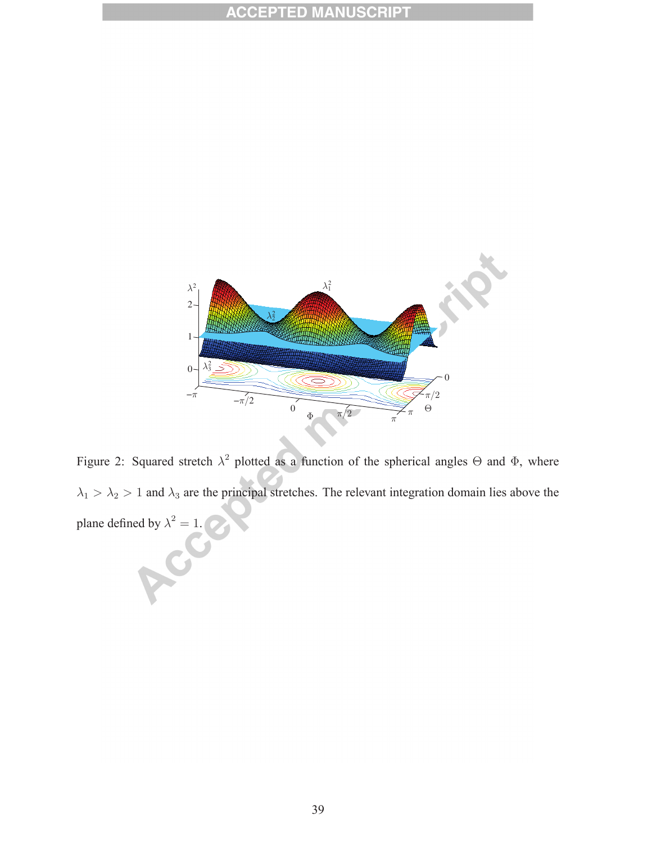

Figure 2: Squared stretch  $\lambda^2$  plotted as a function of the spherical angles  $\Theta$  and  $\Phi$ , where  $\lambda_1 > \lambda_2 > 1$  and  $\lambda_3$  are the principal stretches. The relevant integration domain lies above the plane defined by  $\lambda^2 = 1$ .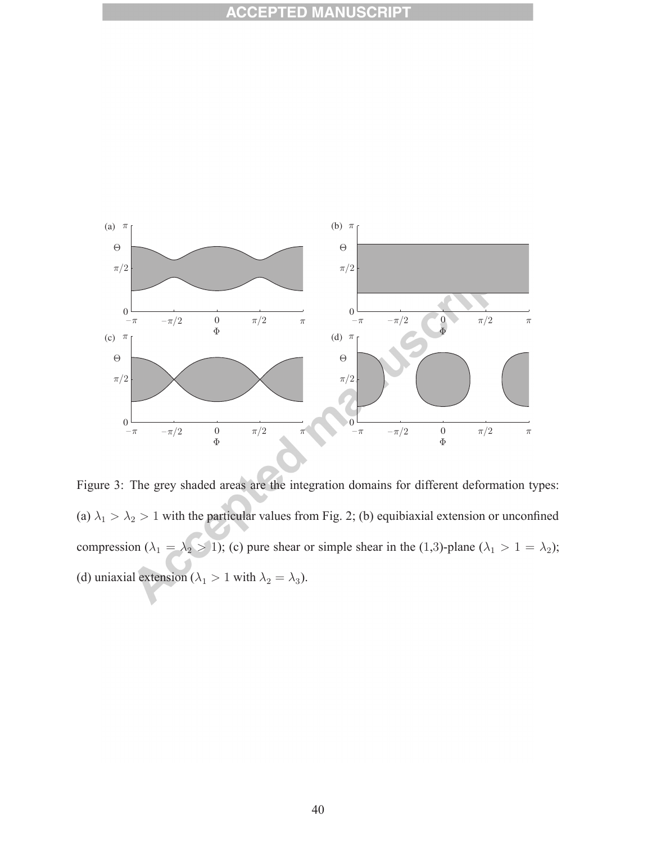

Figure 3: The grey shaded areas are the integration domains for different deformation types: (a)  $\lambda_1 > \lambda_2 > 1$  with the particular values from Fig. 2; (b) equibiaxial extension or unconfined compression ( $\lambda_1 = \lambda_2 > 1$ ); (c) pure shear or simple shear in the (1,3)-plane ( $\lambda_1 > 1 = \lambda_2$ ); (d) uniaxial extension ( $\lambda_1 > 1$  with  $\lambda_2 = \lambda_3$ ).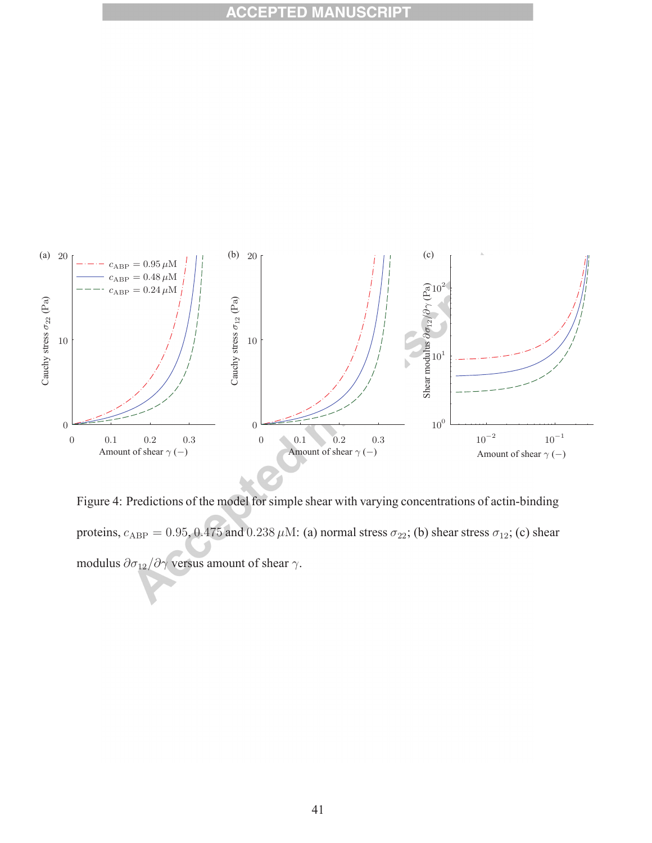

Figure 4: Predictions of the model for simple shear with varying concentrations of actin-binding proteins,  $c_{ABP} = 0.95$ ,  $0.475$  and  $0.238 \mu$ M: (a) normal stress  $\sigma_{22}$ ; (b) shear stress  $\sigma_{12}$ ; (c) shear modulus  $\partial \sigma_{12}/\partial \gamma$  versus amount of shear  $\gamma$ .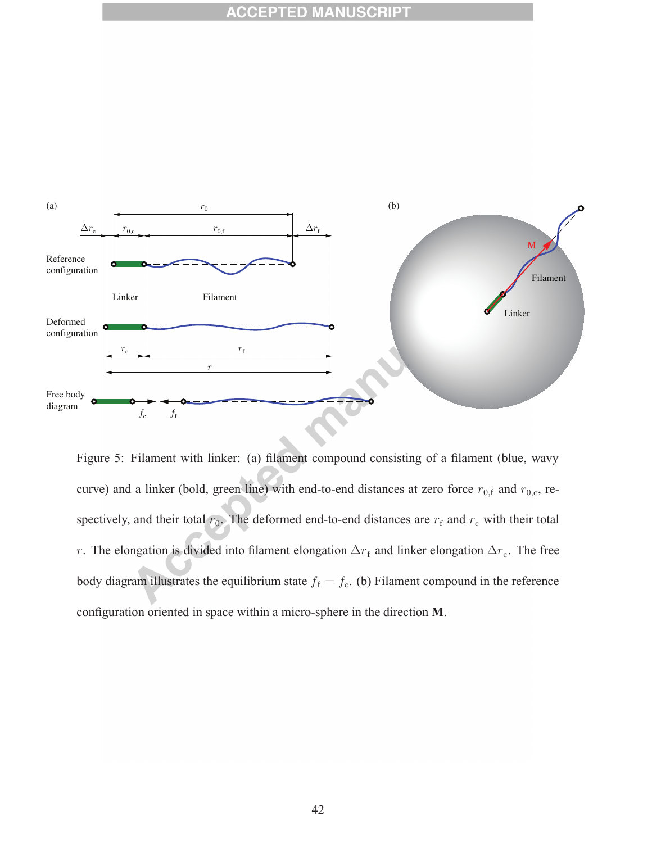

Figure 5: Filament with linker: (a) filament compound consisting of a filament (blue, wavy curve) and a linker (bold, green line) with end-to-end distances at zero force  $r_{0,f}$  and  $r_{0,c}$ , respectively, and their total  $r_0$ . The deformed end-to-end distances are  $r_f$  and  $r_c$  with their total r. The elongation is divided into filament elongation  $\Delta r_f$  and linker elongation  $\Delta r_c$ . The free body diagram illustrates the equilibrium state  $f_f = f_c$ . (b) Filament compound in the reference configuration oriented in space within a micro-sphere in the direction **M**.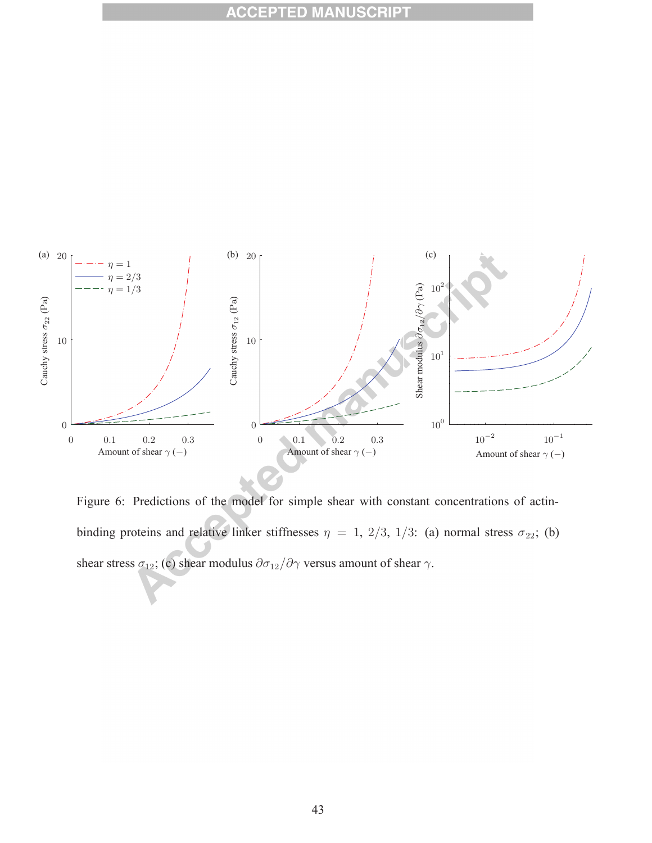

Figure 6: Predictions of the model for simple shear with constant concentrations of actinbinding proteins and relative linker stiffnesses  $\eta = 1, 2/3, 1/3$ : (a) normal stress  $\sigma_{22}$ ; (b) shear stress  $\sigma_{12}$ ; (c) shear modulus  $\partial \sigma_{12}/\partial \gamma$  versus amount of shear  $\gamma$ .